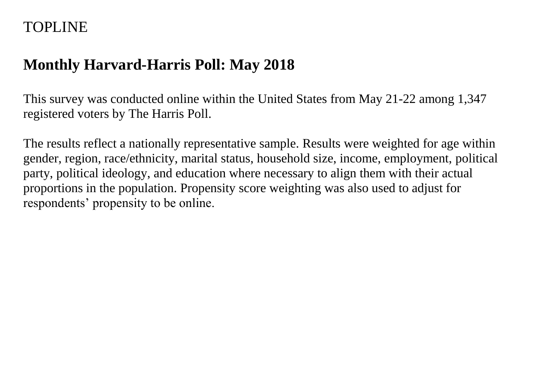## TOPLINE

# **Monthly Harvard-Harris Poll: May 2018**

This survey was conducted online within the United States from May 21-22 among 1,347 registered voters by The Harris Poll.

The results reflect a nationally representative sample. Results were weighted for age within gender, region, race/ethnicity, marital status, household size, income, employment, political party, political ideology, and education where necessary to align them with their actual proportions in the population. Propensity score weighting was also used to adjust for respondents' propensity to be online.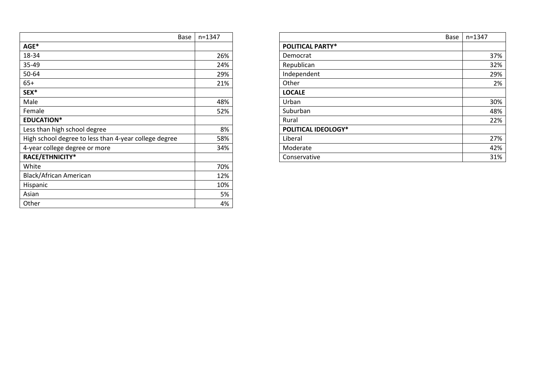| Base                                                  | $n = 1347$ |                            |
|-------------------------------------------------------|------------|----------------------------|
| AGE*                                                  |            | <b>POLITICAL PARTY*</b>    |
| 18-34                                                 | 26%        | Democrat                   |
| 35-49                                                 | 24%        | Republican                 |
| 50-64                                                 | 29%        | Independent                |
| $65+$                                                 | 21%        | Other                      |
| SEX*                                                  |            | <b>LOCALE</b>              |
| Male                                                  | 48%        | Urban                      |
| Female                                                | 52%        | Suburban                   |
| <b>EDUCATION*</b>                                     |            | Rural                      |
| Less than high school degree                          | 8%         | <b>POLITICAL IDEOLOGY*</b> |
| High school degree to less than 4-year college degree | 58%        | Liberal                    |
| 4-year college degree or more                         | 34%        | Moderate                   |
| RACE/ETHNICITY*                                       |            | Conservative               |
| White                                                 | 70%        |                            |
| Black/African American                                | 12%        |                            |
| Hispanic                                              | 10%        |                            |
| Asian                                                 | 5%         |                            |
| Other                                                 | 4%         |                            |

| Base                                                  | n=1347 | Base                       | $n = 1347$ |
|-------------------------------------------------------|--------|----------------------------|------------|
| $AGE^*$                                               |        | <b>POLITICAL PARTY*</b>    |            |
| 18-34                                                 | 26%    | Democrat                   | 37%        |
| 35-49                                                 | 24%    | Republican                 | 32%        |
| 50-64                                                 | 29%    | Independent                | 29%        |
| $65+$                                                 | 21%    | Other                      | 2%         |
| SEX*                                                  |        | <b>LOCALE</b>              |            |
| Male                                                  | 48%    | Urban                      | 30%        |
| Female                                                | 52%    | Suburban                   | 48%        |
| <b>EDUCATION*</b>                                     |        | Rural                      | 22%        |
| Less than high school degree                          | 8%     | <b>POLITICAL IDEOLOGY*</b> |            |
| High school degree to less than 4-year college degree | 58%    | Liberal                    | 27%        |
| 4-year college degree or more                         | 34%    | Moderate                   | 42%        |
| RACE/ETHNICITY*                                       |        | Conservative               | 31%        |
|                                                       |        |                            |            |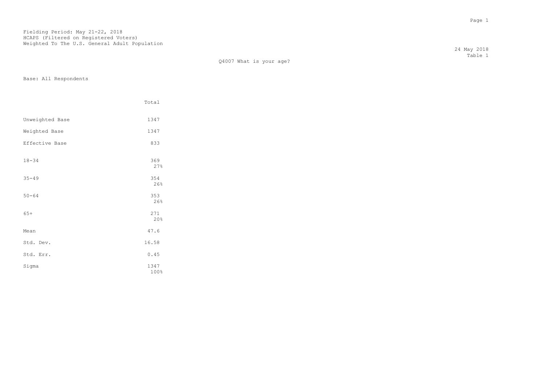| Q4007 What is your age? |  |  |
|-------------------------|--|--|
|                         |  |  |

Base: All Respondents

|                 | Total        |
|-----------------|--------------|
| Unweighted Base | 1347         |
| Weighted Base   | 1347         |
| Effective Base  | 833          |
| $18 - 34$       | 369<br>27%   |
| $35 - 49$       | 354<br>26%   |
| $50 - 64$       | 353<br>26%   |
| $65+$           | 271<br>20%   |
| Mean            | 47.6         |
| Std. Dev.       | 16.58        |
| Std. Err.       | 0.45         |
| Sigma           | 1347<br>100% |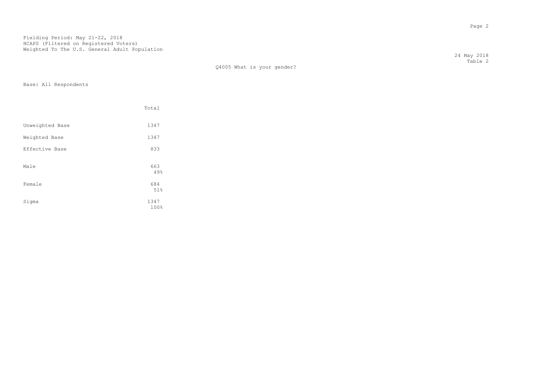Q4005 What is your gender?

Base: All Respondents

|                 | Total        |
|-----------------|--------------|
| Unweighted Base | 1347         |
| Weighted Base   | 1347         |
| Effective Base  | 833          |
| Male            | 663<br>49%   |
| Female          | 684<br>51%   |
| Sigma           | 1347<br>100% |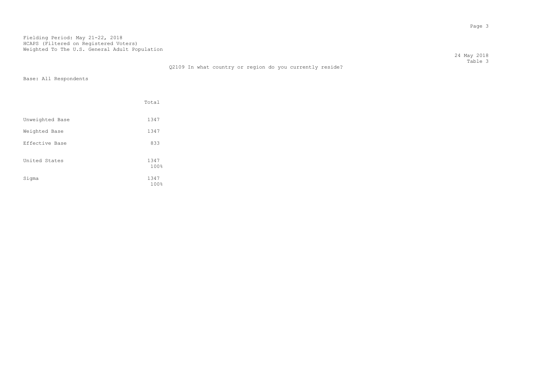|                       |                                                          | 24 May 2018 |
|-----------------------|----------------------------------------------------------|-------------|
|                       |                                                          | Table 3     |
|                       | Q2109 In what country or region do you currently reside? |             |
| Base: All Respondents |                                                          |             |

|                 | Total        |
|-----------------|--------------|
| Unweighted Base | 1347         |
| Weighted Base   | 1347         |
| Effective Base  | 833          |
| United States   | 1347<br>100% |
| Sigma           | 1347<br>100% |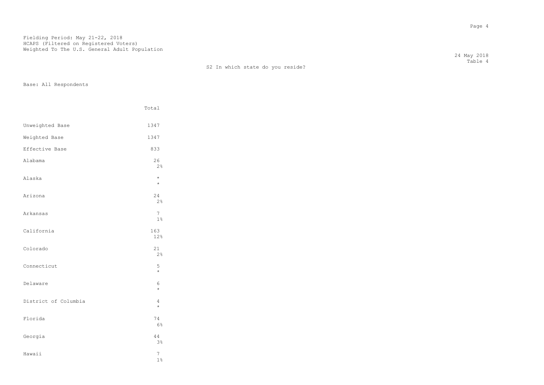S2 In which state do you reside?

Base: All Respondents

|                      | Total                |
|----------------------|----------------------|
| Unweighted Base      | 1347                 |
| Weighted Base        | 1347                 |
| Effective Base       | 833                  |
| Alabama              | 26<br>2%             |
| Alaska               | $\star$<br>$\star$   |
| Arizona              | 24<br>2%             |
| Arkansas             | $\overline{7}$<br>1% |
| California           | 163<br>12%           |
| Colorado             | $2\sqrt{1}$<br>2%    |
| Connecticut          | 5<br>$\star$         |
| Delaware             | 6<br>$\star$         |
| District of Columbia | 4<br>$\star$         |
| Florida              | 74<br>6%             |
| Georgia              | 44<br>3 <sup>°</sup> |
| Hawaii               | $\overline{7}$<br>1% |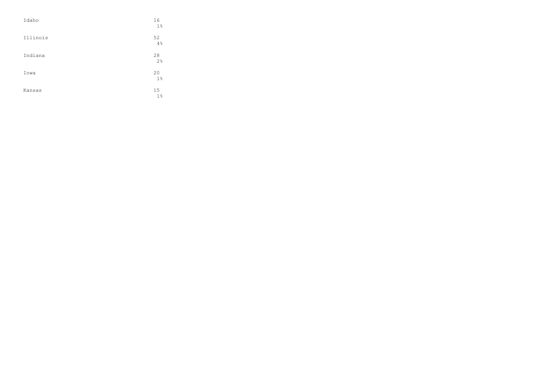| Idaho    | 16<br>$1\%$ |
|----------|-------------|
| Illinois | 52<br>4%    |
| Indiana  | 28<br>2%    |
| Iowa     | 20<br>$1\%$ |
| Kansas   | 15<br>$1\%$ |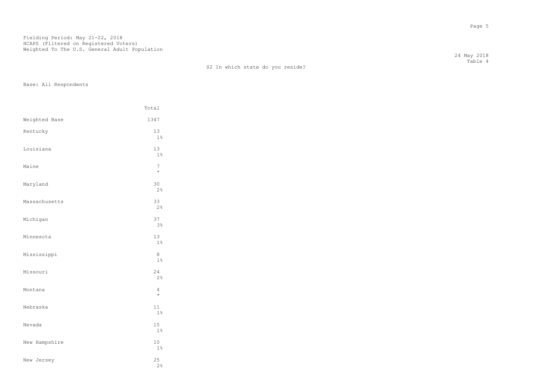## S2 In which state do you reside?

Base: All Respondents

|               | Total                |
|---------------|----------------------|
| Weighted Base | 1347                 |
| Kentucky      | 13<br>1%             |
| Louisiana     | 13<br>1%             |
| Maine         | 7<br>$\star$         |
| Maryland      | 30<br>2%             |
| Massachusetts | 33<br>2%             |
| Michigan      | 37<br>$3\frac{6}{9}$ |
| Minnesota     | 13<br>$1\%$          |
| Mississippi   | 8<br>$1\%$           |
| Missouri      | 24<br>2%             |
| Montana       | 4<br>$\star$         |
| Nebraska      | 11<br>1%             |
| Nevada        | 15<br>$1\%$          |
| New Hampshire | 10<br>$1\%$          |
| New Jersey    | 25<br>2%             |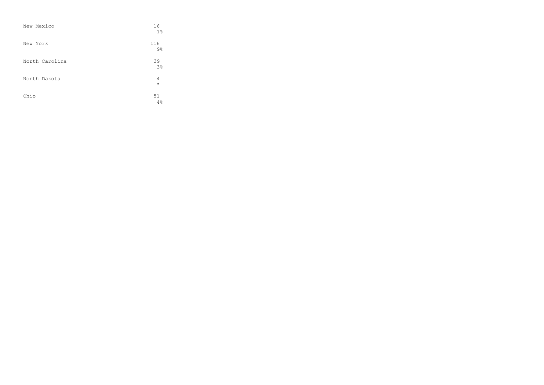| New Mexico     | 16<br>1 <sup>°</sup>  |
|----------------|-----------------------|
| New York       | 116<br>$9\frac{6}{6}$ |
| North Carolina | 39<br>3 <sup>°</sup>  |
| North Dakota   | 4<br>$\star$          |
| Ohio           | 51<br>4%              |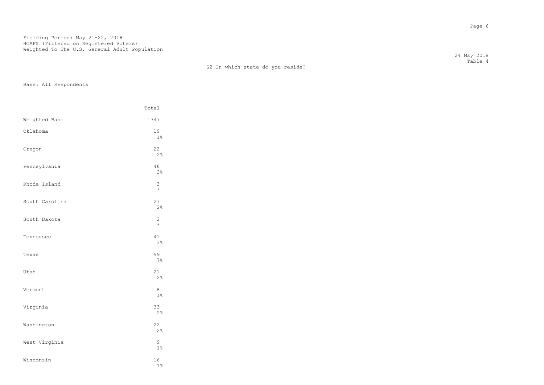## S2 In which state do you reside?

Base: All Respondents

|                | Total                     |
|----------------|---------------------------|
| Weighted Base  | 1347                      |
| Oklahoma       | 19<br>$1\%$               |
| Oregon         | 22<br>2%                  |
| Pennsylvania   | 46<br>3%                  |
| Rhode Island   | 3<br>$\star$              |
| South Carolina | 27<br>2%                  |
| South Dakota   | $\overline{c}$<br>$\star$ |
| Tennessee      | 41<br>3%                  |
| Texas          | 99<br>7%                  |
| Utah           | 21<br>2%                  |
| Vermont        | 8<br>$1\%$                |
| Virginia       | 33<br>2%                  |
| Washington     | 22<br>2%                  |
| West Virginia  | 9<br>$1\%$                |
| Wisconsin      | 16<br>$1\%$               |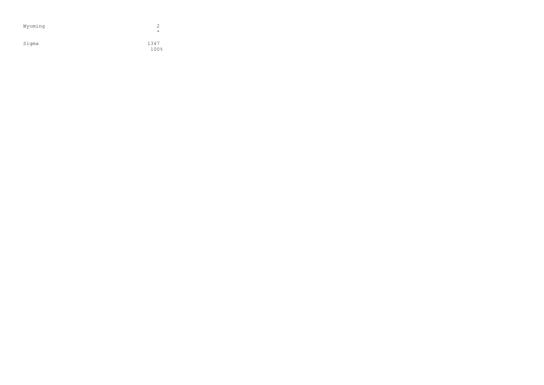| Wyoming | 2<br>$\star$ |
|---------|--------------|
| Sigma   | 1347<br>100% |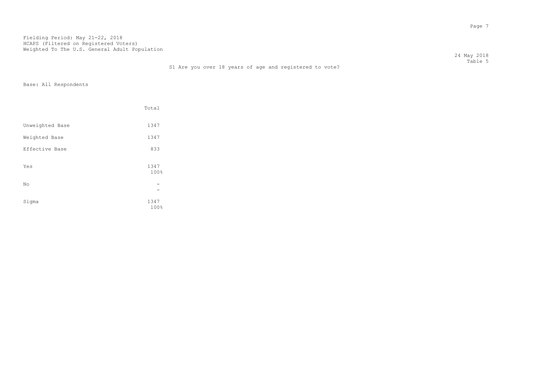24 May 2018 Table 5

## S1 Are you over 18 years of age and registered to vote?

|                 | Total        |  |
|-----------------|--------------|--|
| Unweighted Base | 1347         |  |
| Weighted Base   | 1347         |  |
| Effective Base  | 833          |  |
| Yes             | 1347<br>100% |  |
| No              |              |  |
| Sigma           | 1347<br>100% |  |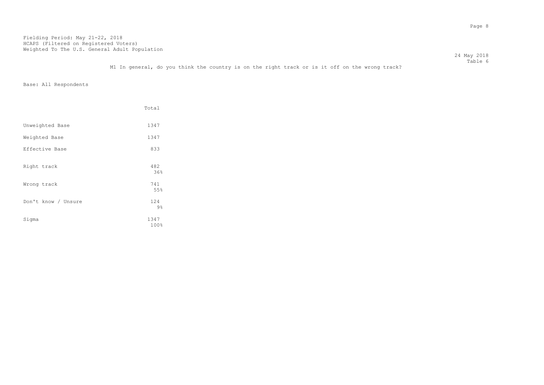24 May 2018 Table 6

M1 In general, do you think the country is on the right track or is it off on the wrong track?

|                     | Total        |
|---------------------|--------------|
| Unweighted Base     | 1347         |
| Weighted Base       | 1347         |
| Effective Base      | 833          |
| Right track         | 482<br>36%   |
| Wrong track         | 741<br>55%   |
| Don't know / Unsure | 124<br>$9\%$ |
| Sigma               | 1347<br>100% |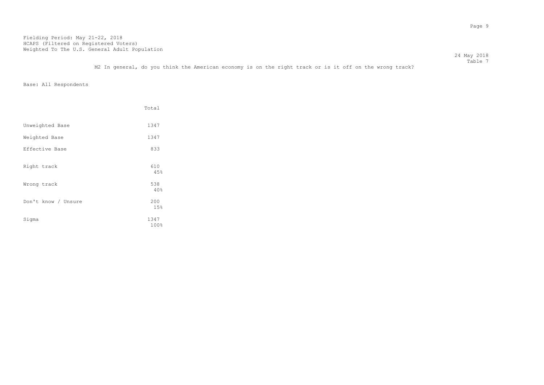24 May 2018  $\footnotesize\substack{\text{Table 7}}$ 

M2 In general, do you think the American economy is on the right track or is it off on the wrong track?

|                     | Total        |
|---------------------|--------------|
| Unweighted Base     | 1347         |
| Weighted Base       | 1347         |
| Effective Base      | 833          |
| Right track         | 610<br>45%   |
| Wrong track         | 538<br>40%   |
| Don't know / Unsure | 200<br>15%   |
| Sigma               | 1347<br>100% |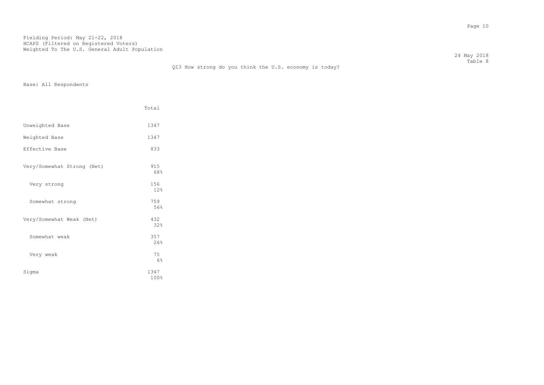24 May 2018 Table 8

|                            | Total        |
|----------------------------|--------------|
| Unweighted Base            | 1347         |
| Weighted Base              | 1347         |
| Effective Base             | 833          |
| Very/Somewhat Strong (Net) | 915<br>68%   |
| Very strong                | 156<br>12%   |
| Somewhat strong            | 759<br>56%   |
| Very/Somewhat Weak (Net)   | 432<br>32%   |
| Somewhat weak              | 357<br>26%   |
| Very weak                  | 75<br>6%     |
| Sigma                      | 1347<br>100% |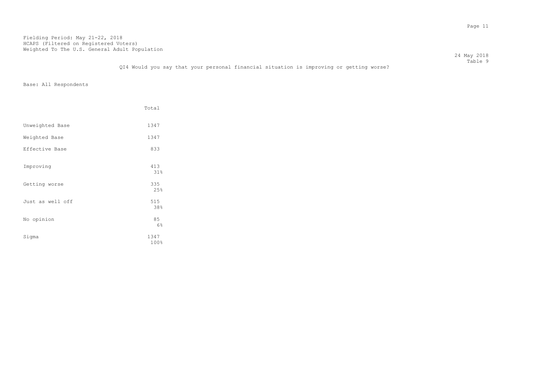24 May 2018 Table 9

## QI4 Would you say that your personal financial situation is improving or getting worse?

|                  | Total        |
|------------------|--------------|
| Unweighted Base  | 1347         |
| Weighted Base    | 1347         |
| Effective Base   | 833          |
| Improving        | 413<br>31%   |
| Getting worse    | 335<br>25%   |
| Just as well off | 515<br>38%   |
| No opinion       | 85<br>6%     |
| Sigma            | 1347<br>100% |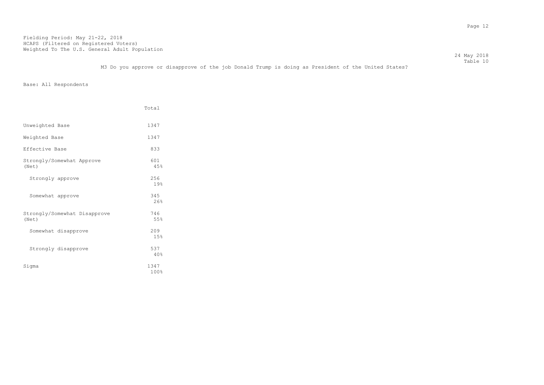M3 Do you approve or disapprove of the job Donald Trump is doing as President of the United States?

Base: All Respondents

|                                       | Total        |
|---------------------------------------|--------------|
| Unweighted Base                       | 1347         |
| Weighted Base                         | 1347         |
| Effective Base                        | 833          |
| Strongly/Somewhat Approve<br>(Net)    | 601<br>45%   |
| Strongly approve                      | 256<br>19%   |
| Somewhat approve                      | 345<br>26%   |
| Strongly/Somewhat Disapprove<br>(Net) | 746<br>55%   |
| Somewhat disapprove                   | 209<br>15%   |
| Strongly disapprove                   | 537<br>40%   |
| Sigma                                 | 1347<br>100% |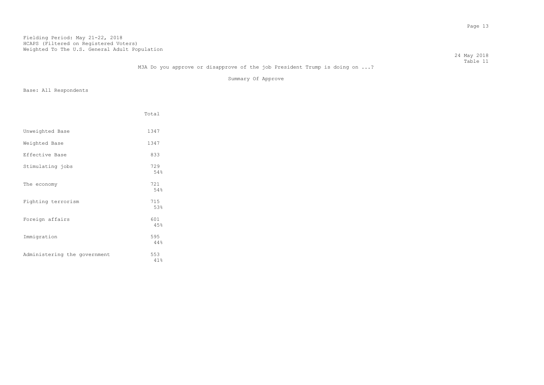24 May 2018 Table 11

## M3A Do you approve or disapprove of the job President Trump is doing on ...?

Summary Of Approve

|                              | Total      |
|------------------------------|------------|
| Unweighted Base              | 1347       |
| Weighted Base                | 1347       |
| Effective Base               | 833        |
| Stimulating jobs             | 729<br>54% |
| The economy                  | 721<br>54% |
| Fighting terrorism           | 715<br>53% |
| Foreign affairs              | 601<br>45% |
| Immigration                  | 595<br>44% |
| Administering the government | 553<br>41% |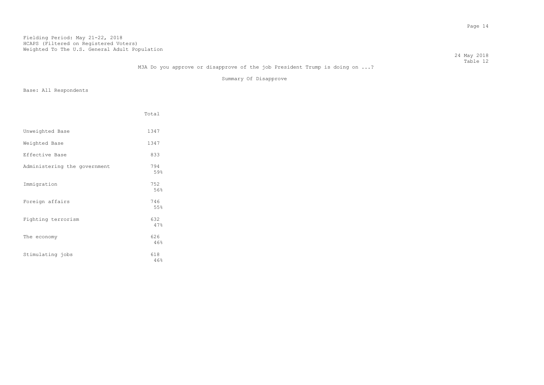24 May 2018 Table 12

## M3A Do you approve or disapprove of the job President Trump is doing on ...?

Summary Of Disapprove

|                              | Total      |
|------------------------------|------------|
| Unweighted Base              | 1347       |
| Weighted Base                | 1347       |
| Effective Base               | 833        |
| Administering the government | 794<br>59% |
| Immigration                  | 752<br>56% |
| Foreign affairs              | 746<br>55% |
| Fighting terrorism           | 632<br>47% |
| The economy                  | 626<br>46% |
| Stimulating jobs             | 618<br>46% |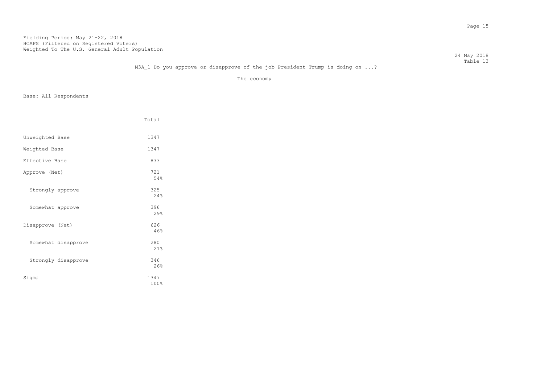24 May 2018 Table 13

The economy

|                     | Total        |
|---------------------|--------------|
| Unweighted Base     | 1347         |
| Weighted Base       | 1347         |
| Effective Base      | 833          |
| Approve (Net)       | 721<br>54%   |
| Strongly approve    | 325<br>2.4%  |
| Somewhat approve    | 396<br>29%   |
| Disapprove (Net)    | 626<br>46%   |
| Somewhat disapprove | 280<br>21%   |
| Strongly disapprove | 346<br>26%   |
| Sigma               | 1347<br>100% |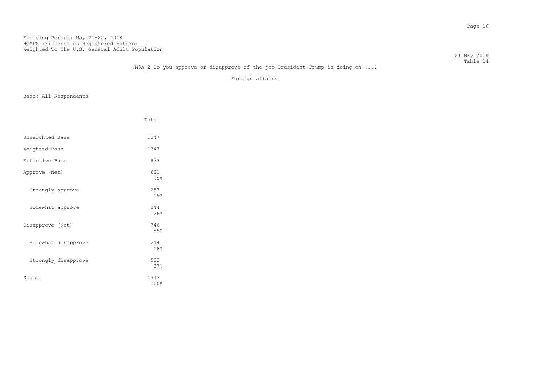24 May 2018 Table 14

## M3A 2 Do you approve or disapprove of the job President Trump is doing on ...?

Foreign affairs

|                     | Total        |
|---------------------|--------------|
| Unweighted Base     | 1347         |
| Weighted Base       | 1347         |
| Effective Base      | 833          |
| Approve (Net)       | 601<br>45%   |
| Strongly approve    | 257<br>19%   |
| Somewhat approve    | 344<br>26%   |
| Disapprove (Net)    | 746<br>55%   |
| Somewhat disapprove | 2.44<br>18%  |
| Strongly disapprove | 502<br>37%   |
| Sigma               | 1347<br>100% |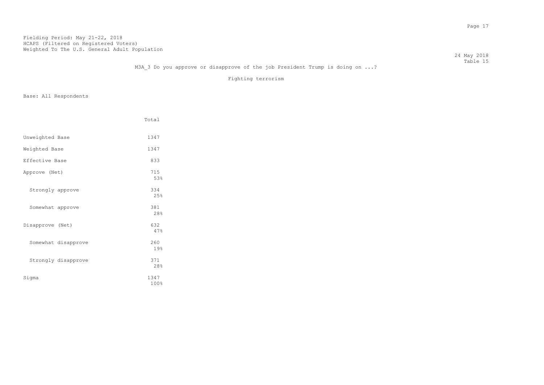24 May 2018 Table 15

## M3A 3 Do you approve or disapprove of the job President Trump is doing on ...?

Fighting terrorism

|                     | Total        |
|---------------------|--------------|
| Unweighted Base     | 1347         |
| Weighted Base       | 1347         |
| Effective Base      | 833          |
| Approve (Net)       | 715<br>53%   |
| Strongly approve    | 334<br>25%   |
| Somewhat approve    | 381<br>28%   |
| Disapprove (Net)    | 632<br>47%   |
| Somewhat disapprove | 260<br>19%   |
| Strongly disapprove | 371<br>28%   |
| Sigma               | 1347<br>100% |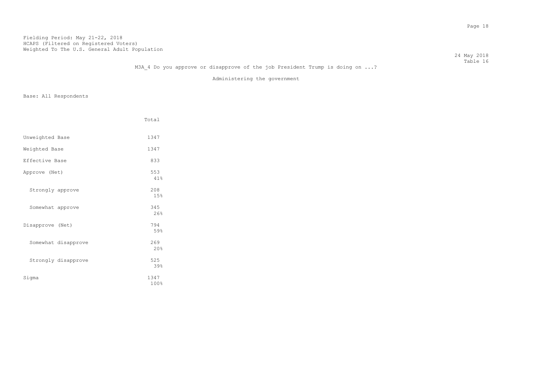24 May 2018 Table 16

## M3A 4 Do you approve or disapprove of the job President Trump is doing on ...?

Administering the government

|                     | Total        |
|---------------------|--------------|
| Unweighted Base     | 1347         |
| Weighted Base       | 1347         |
| Effective Base      | 833          |
| Approve (Net)       | 553<br>41%   |
| Strongly approve    | 208<br>15%   |
| Somewhat approve    | 345<br>26%   |
| Disapprove (Net)    | 794<br>59%   |
| Somewhat disapprove | 269<br>20%   |
| Strongly disapprove | 525<br>39%   |
| Sigma               | 1347<br>100% |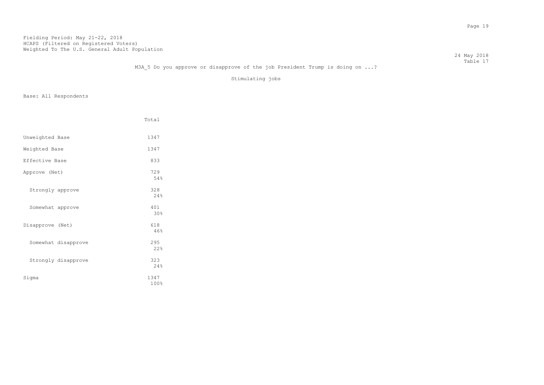24 May 2018 Table 17

## M3A 5 Do you approve or disapprove of the job President Trump is doing on ...?

Stimulating jobs

|                     | Total        |
|---------------------|--------------|
|                     |              |
| Unweighted Base     | 1347         |
| Weighted Base       | 1347         |
| Effective Base      | 833          |
| Approve (Net)       | 729<br>54%   |
| Strongly approve    | 328<br>24%   |
| Somewhat approve    | 401<br>30%   |
| Disapprove (Net)    | 618<br>46%   |
| Somewhat disapprove | 295<br>22%   |
| Strongly disapprove | 323<br>24%   |
| Sigma               | 1347<br>100% |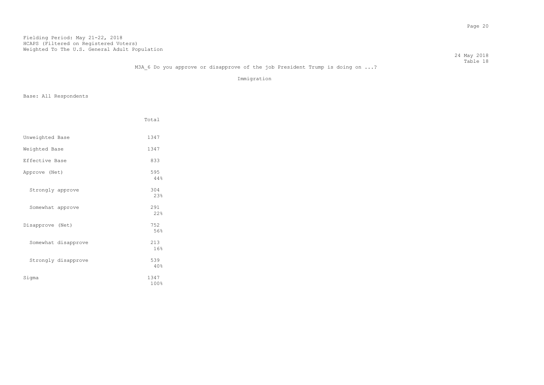24 May 2018 Table 18

## M3A 6 Do you approve or disapprove of the job President Trump is doing on ...?

Immigration

|                     | Total        |
|---------------------|--------------|
| Unweighted Base     | 1347         |
| Weighted Base       | 1347         |
| Effective Base      | 833          |
| Approve (Net)       | 595<br>44%   |
| Strongly approve    | 304<br>23%   |
| Somewhat approve    | 291<br>22%   |
| Disapprove (Net)    | 752<br>56%   |
| Somewhat disapprove | 213<br>16%   |
| Strongly disapprove | 539<br>40%   |
| Sigma               | 1347<br>100% |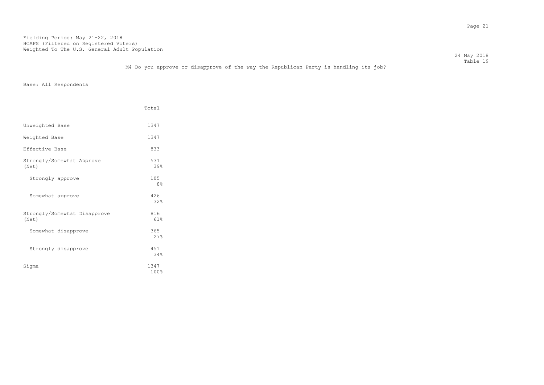24 May 2018 Table 19

M4 Do you approve or disapprove of the way the Republican Party is handling its job?

|                                       | Total                 |
|---------------------------------------|-----------------------|
| Unweighted Base                       | 1347                  |
| Weighted Base                         | 1347                  |
| Effective Base                        | 833                   |
| Strongly/Somewhat Approve<br>(Net)    | 531<br>39%            |
| Strongly approve                      | 105<br>8 <sup>°</sup> |
| Somewhat approve                      | 426<br>32%            |
| Strongly/Somewhat Disapprove<br>(Net) | 816<br>61%            |
| Somewhat disapprove                   | 365<br>27%            |
| Strongly disapprove                   | 451<br>34%            |
| Sigma                                 | 1347<br>100%          |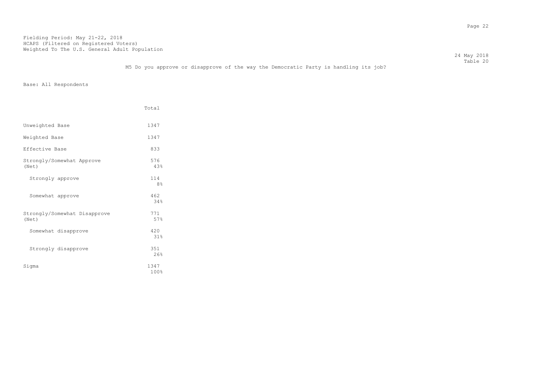24 May 2018 Table 20

|                                       | Total                 |
|---------------------------------------|-----------------------|
| Unweighted Base                       | 1347                  |
| Weighted Base                         | 1347                  |
| Effective Base                        | 833                   |
| Strongly/Somewhat Approve<br>(Net)    | 576<br>43%            |
| Strongly approve                      | 114<br>8 <sup>°</sup> |
| Somewhat approve                      | 462<br>34%            |
| Strongly/Somewhat Disapprove<br>(Net) | 771<br>57%            |
| Somewhat disapprove                   | 420<br>31%            |
| Strongly disapprove                   | 351<br>26%            |
| Sigma                                 | 1347<br>100%          |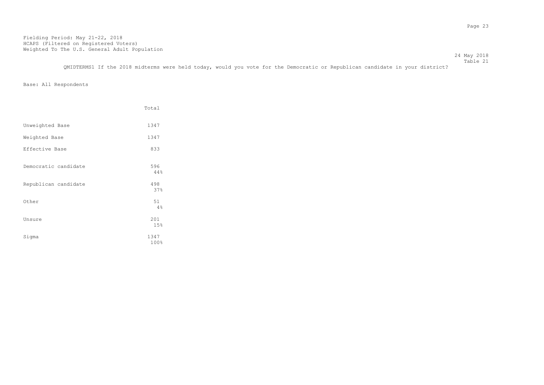Table 21 QMIDTERMS1 If the 2018 midterms were held today, would you vote for the Democratic or Republican candidate in your district?

24 May 2018

|                      | Total        |
|----------------------|--------------|
| Unweighted Base      | 1347         |
| Weighted Base        | 1347         |
| Effective Base       | 833          |
| Democratic candidate | 596<br>44%   |
| Republican candidate | 498<br>37%   |
| Other                | 51<br>4%     |
| Unsure               | 201<br>15%   |
| Sigma                | 1347<br>100% |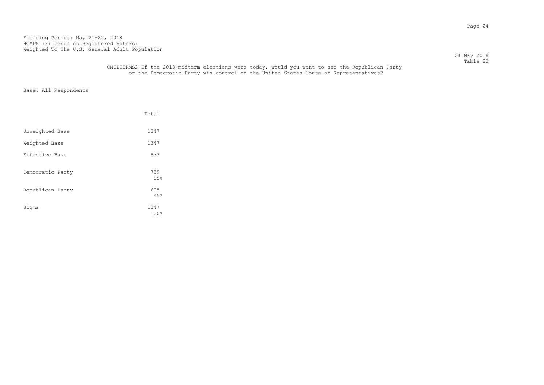24 May 2018 Table 22

## QMIDTERMS2 If the 2018 midterm elections were today, would you want to see the Republican Party or the Democratic Party win control of the United States House of Representatives?

|                  | Total        |
|------------------|--------------|
| Unweighted Base  | 1347         |
| Weighted Base    | 1347         |
| Effective Base   | 833          |
| Democratic Party | 739<br>55%   |
| Republican Party | 608<br>45%   |
| Sigma            | 1347<br>100% |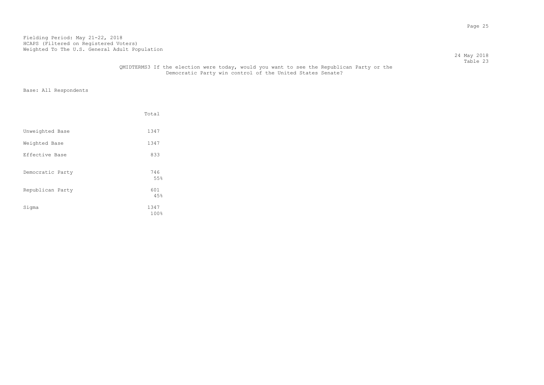Table 23 QMIDTERMS3 If the election were today, would you want to see the Republican Party or the Democratic Party win control of the United States Senate?

24 May 2018

|                  | Total        |
|------------------|--------------|
| Unweighted Base  | 1347         |
| Weighted Base    | 1347         |
| Effective Base   | 833          |
| Democratic Party | 746<br>55%   |
| Republican Party | 601<br>45%   |
| Sigma            | 1347<br>100% |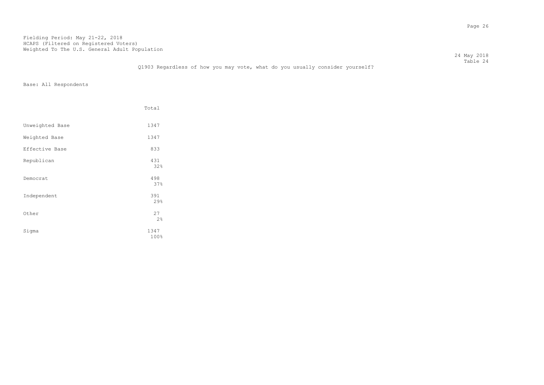24 May 2018 Table 24

## Q1903 Regardless of how you may vote, what do you usually consider yourself?

|                 | Total        |
|-----------------|--------------|
| Unweighted Base | 1347         |
| Weighted Base   | 1347         |
| Effective Base  | 833          |
| Republican      | 431<br>32%   |
| Democrat        | 498<br>37%   |
| Independent     | 391<br>29%   |
| Other           | 27<br>2%     |
| Sigma           | 1347<br>100% |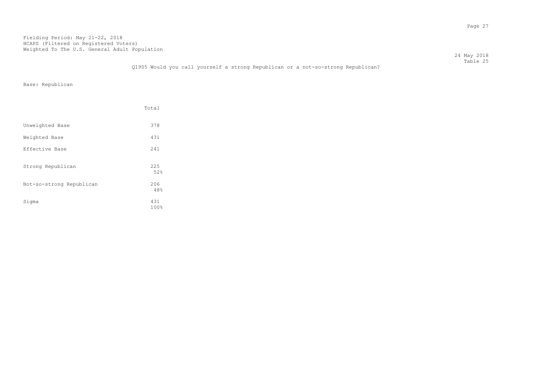24 May 2018 Table 25

Q1905 Would you call yourself a strong Republican or a not-so-strong Republican?

Base: Republican

|                          | Total       |
|--------------------------|-------------|
| Unweighted Base          | 378         |
| Weighted Base            | 431         |
| Effective Base           | 241         |
| Strong Republican        | 225<br>52%  |
| Not-so-strong Republican | 206<br>48%  |
| Sigma                    | 431<br>100% |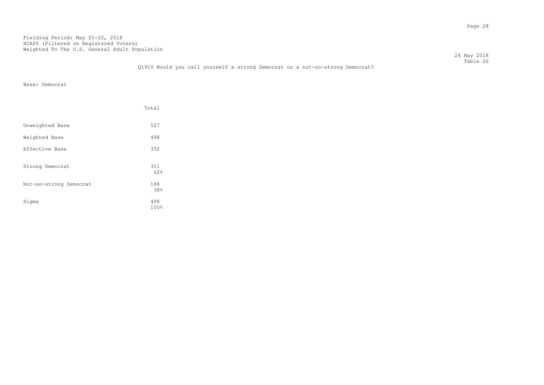24 May 2018 Table 26

## Q1910 Would you call yourself a strong Democrat or a not-so-strong Democrat?

Base: Democrat

|                        | Total       |
|------------------------|-------------|
| Unweighted Base        | 527         |
| Weighted Base          | 498         |
| Effective Base         | 332         |
| Strong Democrat        | 311<br>62%  |
| Not-so-strong Democrat | 188<br>38%  |
| Sigma                  | 498<br>100% |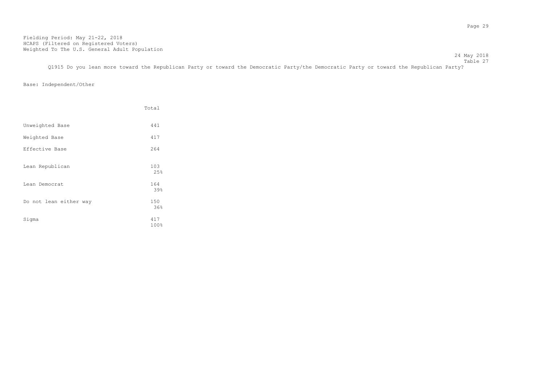Table 27 Q1915 Do you lean more toward the Republican Party or toward the Democratic Party/the Democratic Party or toward the Republican Party?

24 May 2018

## Base: Independent/Other

|                        | Total       |
|------------------------|-------------|
| Unweighted Base        | 441         |
| Weighted Base          | 417         |
| Effective Base         | 264         |
| Lean Republican        | 103<br>25%  |
| Lean Democrat          | 164<br>39%  |
| Do not lean either way | 150<br>36%  |
| Sigma                  | 417<br>100% |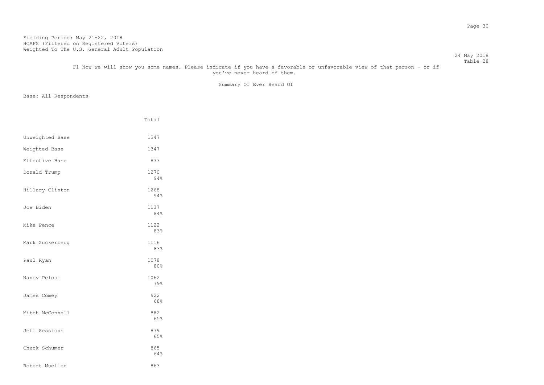#### 24 May 2018 Table 28 F1 Now we will show you some names. Please indicate if you have a favorable or unfavorable view of that person - or if you've never heard of them.

Summary Of Ever Heard Of

|                 | Total       |
|-----------------|-------------|
| Unweighted Base | 1347        |
| Weighted Base   | 1347        |
| Effective Base  | 833         |
| Donald Trump    | 1270<br>94% |
| Hillary Clinton | 1268<br>94% |
| Joe Biden       | 1137<br>84% |
| Mike Pence      | 1122<br>83% |
| Mark Zuckerberg | 1116<br>83% |
| Paul Ryan       | 1078<br>80% |
| Nancy Pelosi    | 1062<br>79% |
| James Comey     | 922<br>68%  |
| Mitch McConnell | 882<br>65%  |
| Jeff Sessions   | 879<br>65%  |
| Chuck Schumer   | 865<br>64%  |
| Robert Mueller  | 863         |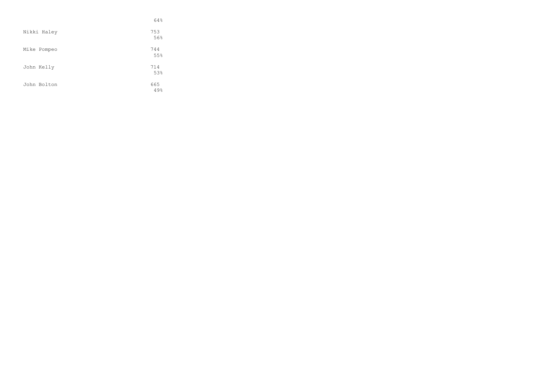|             | 64%        |
|-------------|------------|
| Nikki Haley | 753<br>56% |
| Mike Pompeo | 744<br>55% |
| John Kelly  | 714<br>53% |
| John Bolton | 665<br>49% |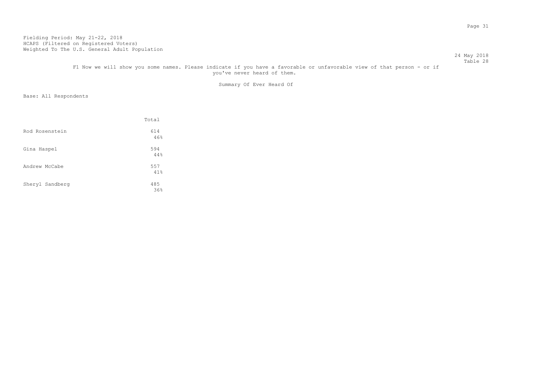#### 24 May 2018 Table 28 F1 Now we will show you some names. Please indicate if you have a favorable or unfavorable view of that person - or if

you've never heard of them.

Summary Of Ever Heard Of

|                 | Total      |
|-----------------|------------|
| Rod Rosenstein  | 614<br>46% |
| Gina Haspel     | 594<br>44% |
| Andrew McCabe   | 557<br>41% |
| Sheryl Sandberg | 485<br>36% |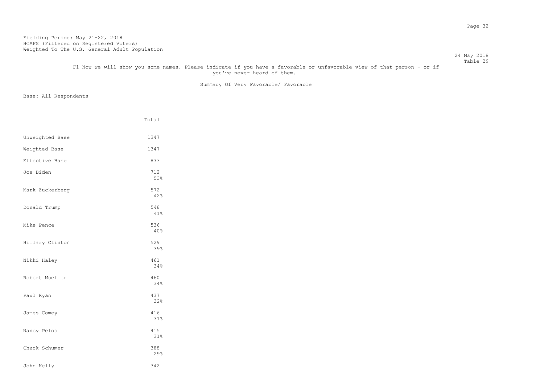#### 24 May 2018 Table 29

# F1 Now we will show you some names. Please indicate if you have a favorable or unfavorable view of that person - or if you've never heard of them.

Summary Of Very Favorable/ Favorable

|                 | Total      |
|-----------------|------------|
| Unweighted Base | 1347       |
| Weighted Base   | 1347       |
| Effective Base  | 833        |
| Joe Biden       | 712<br>53% |
| Mark Zuckerberg | 572<br>42% |
| Donald Trump    | 548<br>41% |
| Mike Pence      | 536<br>40% |
| Hillary Clinton | 529<br>39% |
| Nikki Haley     | 461<br>34% |
| Robert Mueller  | 460<br>34% |
| Paul Ryan       | 437<br>32% |
| James Comey     | 416<br>31% |
| Nancy Pelosi    | 415<br>31% |
| Chuck Schumer   | 388<br>29% |
| John Kelly      | 342        |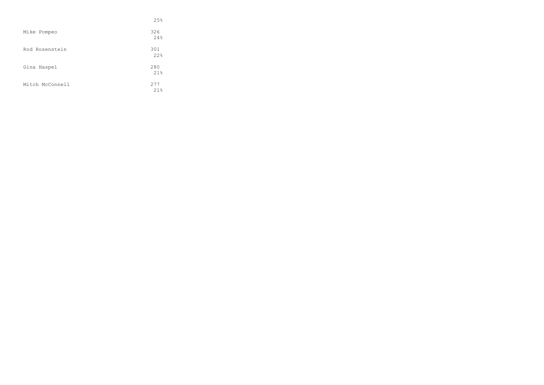|                 | 25%         |
|-----------------|-------------|
| Mike Pompeo     | 326<br>24%  |
| Rod Rosenstein  | 301<br>22%  |
| Gina Haspel     | 280<br>21%  |
| Mitch McConnell | 2.77<br>21% |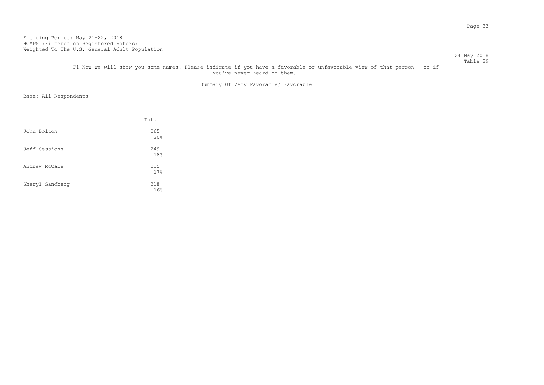#### 24 May 2018 Table 29

# F1 Now we will show you some names. Please indicate if you have a favorable or unfavorable view of that person - or if you've never heard of them.

Summary Of Very Favorable/ Favorable

|                 | Total      |
|-----------------|------------|
| John Bolton     | 265<br>20% |
| Jeff Sessions   | 249<br>18% |
| Andrew McCabe   | 235<br>17% |
| Sheryl Sandberg | 218<br>16% |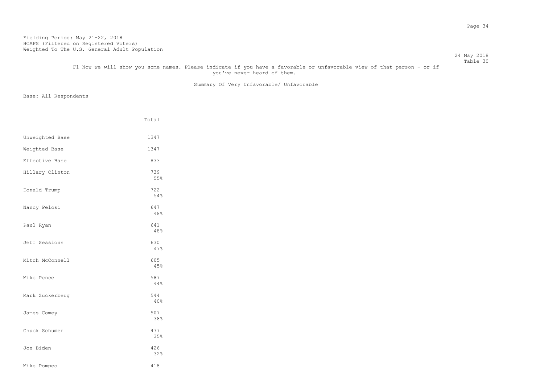#### 24 May 2018 Table 30

# F1 Now we will show you some names. Please indicate if you have a favorable or unfavorable view of that person - or if you've never heard of them.

Summary Of Very Unfavorable/ Unfavorable

|                 | Total      |
|-----------------|------------|
| Unweighted Base | 1347       |
| Weighted Base   | 1347       |
| Effective Base  | 833        |
| Hillary Clinton | 739<br>55% |
| Donald Trump    | 722<br>54% |
| Nancy Pelosi    | 647<br>48% |
| Paul Ryan       | 641<br>48% |
| Jeff Sessions   | 630<br>47% |
| Mitch McConnell | 605<br>45% |
| Mike Pence      | 587<br>44% |
| Mark Zuckerberg | 544<br>40% |
| James Comey     | 507<br>38% |
| Chuck Schumer   | 477<br>35% |
| Joe Biden       | 426<br>32% |
| Mike Pompeo     | 418        |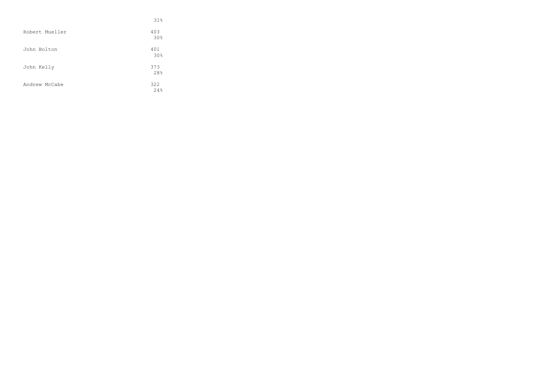|                | 31%        |
|----------------|------------|
| Robert Mueller | 403<br>30% |
| John Bolton    | 401<br>30% |
| John Kelly     | 373<br>28% |
| Andrew McCabe  | 322<br>24% |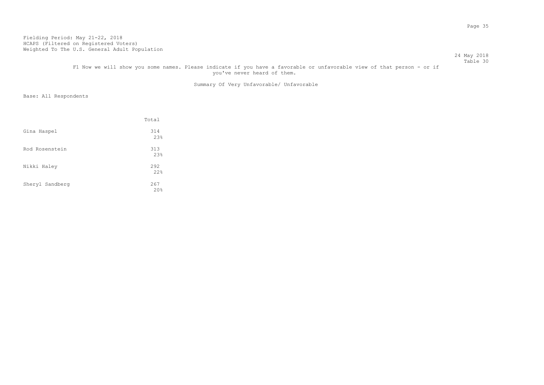#### 24 May 2018 Table 30

# F1 Now we will show you some names. Please indicate if you have a favorable or unfavorable view of that person - or if you've never heard of them.

Summary Of Very Unfavorable/ Unfavorable

|                 | Total      |
|-----------------|------------|
| Gina Haspel     | 314<br>23% |
| Rod Rosenstein  | 313<br>23% |
| Nikki Haley     | 292<br>22% |
| Sheryl Sandberg | 267<br>20% |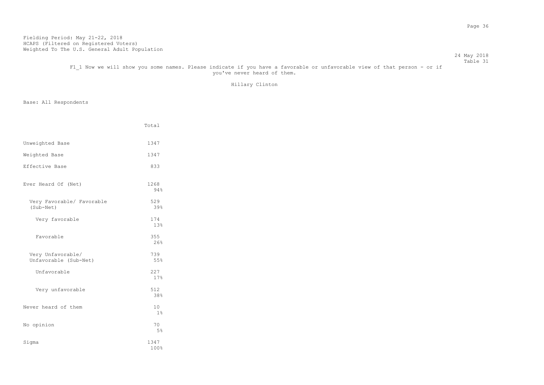#### 24 May 2018 Table 31

# F1 1 Now we will show you some names. Please indicate if you have a favorable or unfavorable view of that person - or if you've never heard of them.

Hillary Clinton

|                                            | Total        |
|--------------------------------------------|--------------|
| Unweighted Base                            | 1347         |
| Weighted Base                              | 1347         |
| Effective Base                             | 833          |
| Ever Heard Of (Net)                        | 1268<br>94%  |
| Very Favorable/ Favorable<br>(Sub-Net)     | 529<br>39%   |
| Very favorable                             | 174<br>13%   |
| Favorable                                  | 355<br>26%   |
| Very Unfavorable/<br>Unfavorable (Sub-Net) | 739<br>55%   |
| Unfavorable                                | 227<br>17%   |
| Very unfavorable                           | 512<br>38%   |
| Never heard of them                        | 10<br>$1\%$  |
| No opinion                                 | 70<br>5%     |
| Sigma                                      | 1347<br>100% |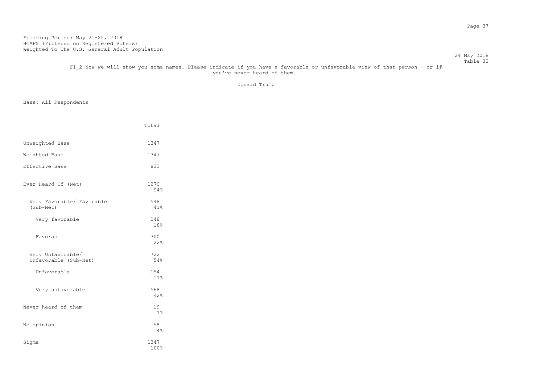#### Table 32 F1\_2 Now we will show you some names. Please indicate if you have a favorable or unfavorable view of that person - or if you've never heard of them.

Donald Trump

24 May 2018

|                                            | Total        |
|--------------------------------------------|--------------|
| Unweighted Base                            | 1347         |
| Weighted Base                              | 1347         |
| Effective Base                             | 833          |
| Ever Heard Of (Net)                        | 1270<br>94%  |
| Very Favorable/ Favorable<br>(Sub-Net)     | 548<br>41%   |
| Very favorable                             | 248<br>18%   |
| Favorable                                  | 300<br>22%   |
| Very Unfavorable/<br>Unfavorable (Sub-Net) | 722<br>54%   |
| Unfavorable                                | 154<br>11%   |
| Very unfavorable                           | 568<br>42%   |
| Never heard of them                        | 19<br>$1\%$  |
| No opinion                                 | 58<br>$4\%$  |
| Sigma                                      | 1347<br>100% |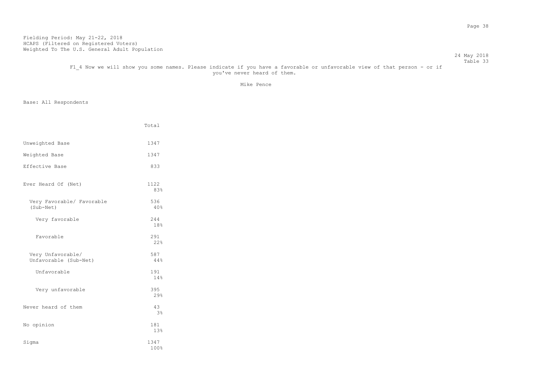#### Table 33 F1 4 Now we will show you some names. Please indicate if you have a favorable or unfavorable view of that person - or if you've never heard of them.

Mike Pence

24 May 2018

|                                            | Total                |
|--------------------------------------------|----------------------|
| Unweighted Base                            | 1347                 |
| Weighted Base                              | 1347                 |
| Effective Base                             | 833                  |
| Ever Heard Of (Net)                        | 1122<br>83%          |
| Very Favorable/ Favorable<br>(Sub-Net)     | 536<br>40%           |
| Very favorable                             | 244<br>18%           |
| Favorable                                  | 291<br>22%           |
| Very Unfavorable/<br>Unfavorable (Sub-Net) | 587<br>44%           |
| Unfavorable                                | 191<br>14%           |
| Very unfavorable                           | 395<br>29%           |
| Never heard of them                        | 43<br>3 <sup>°</sup> |
| No opinion                                 | 181<br>13%           |
| Sigma                                      | 1347<br>100%         |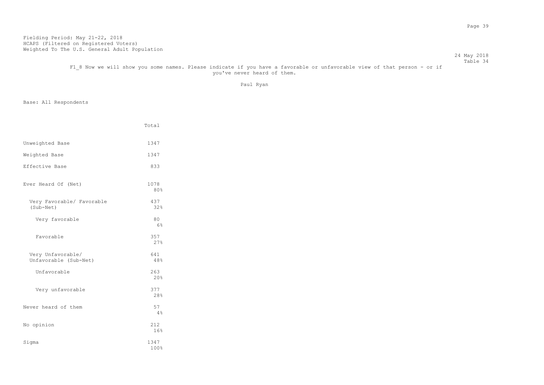#### Table 34 F1\_8 Now we will show you some names. Please indicate if you have a favorable or unfavorable view of that person - or if you've never heard of them.

Paul Ryan

24 May 2018

|                                            | Total        |
|--------------------------------------------|--------------|
| Unweighted Base                            | 1347         |
| Weighted Base                              | 1347         |
| Effective Base                             | 833          |
| Ever Heard Of (Net)                        | 1078<br>80%  |
| Very Favorable/ Favorable<br>(Sub-Net)     | 437<br>32%   |
| Very favorable                             | 80<br>6%     |
| Favorable                                  | 357<br>27%   |
| Very Unfavorable/<br>Unfavorable (Sub-Net) | 641<br>48%   |
| Unfavorable                                | 263<br>20%   |
| Very unfavorable                           | 377<br>28%   |
| Never heard of them                        | 57<br>4%     |
| No opinion                                 | 212<br>16%   |
| Sigma                                      | 1347<br>100% |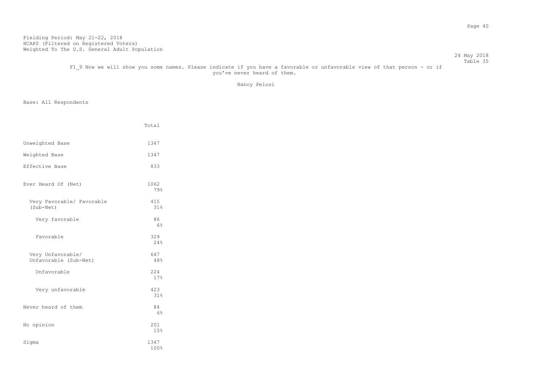#### Table 35 F1\_9 Now we will show you some names. Please indicate if you have a favorable or unfavorable view of that person - or if you've never heard of them.

Nancy Pelosi

24 May 2018

|                                            | Total                |
|--------------------------------------------|----------------------|
| Unweighted Base                            | 1347                 |
| Weighted Base                              | 1347                 |
| Effective Base                             | 833                  |
| Ever Heard Of (Net)                        | 1062<br>79%          |
| Very Favorable/ Favorable<br>(Sub-Net)     | 415<br>31%           |
| Very favorable                             | 86<br>6%             |
| Favorable                                  | 329<br>24%           |
| Very Unfavorable/<br>Unfavorable (Sub-Net) | 647<br>48%           |
| Unfavorable                                | 224<br>17%           |
| Very unfavorable                           | 423<br>31%           |
| Never heard of them                        | 84<br>6 <sup>°</sup> |
| No opinion                                 | 201<br>15%           |
| Sigma                                      | 1347<br>100%         |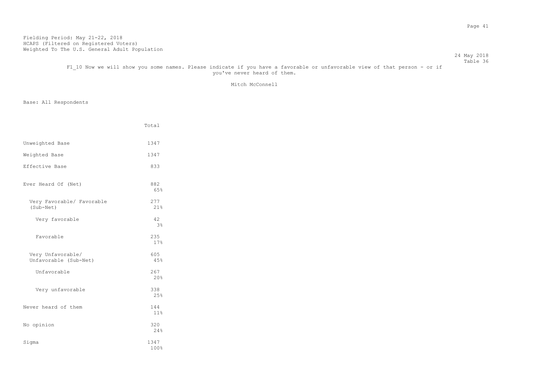#### 24 May 2018 Table 36

# F1 10 Now we will show you some names. Please indicate if you have a favorable or unfavorable view of that person - or if you've never heard of them.

### Mitch McConnell

|                                            | Total                |
|--------------------------------------------|----------------------|
| Unweighted Base                            | 1347                 |
| Weighted Base                              | 1347                 |
| Effective Base                             | 833                  |
| Ever Heard Of (Net)                        | 882<br>65%           |
| Very Favorable/ Favorable<br>(Sub-Net)     | 277<br>21%           |
| Very favorable                             | 42<br>3 <sup>°</sup> |
| Favorable                                  | 235<br>17%           |
| Very Unfavorable/<br>Unfavorable (Sub-Net) | 605<br>45%           |
| Unfavorable                                | 267<br>20%           |
| Very unfavorable                           | 338<br>25%           |
| Never heard of them                        | 144<br>11%           |
| No opinion                                 | 320<br>24%           |
| Sigma                                      | 1347<br>100%         |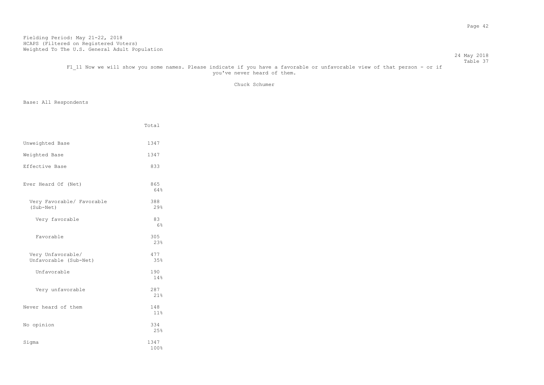#### 24 May 2018 Table 37

F1 11 Now we will show you some names. Please indicate if you have a favorable or unfavorable view of that person - or if you've never heard of them.

Chuck Schumer

|                                            | Total        |
|--------------------------------------------|--------------|
| Unweighted Base                            | 1347         |
| Weighted Base                              | 1347         |
| Effective Base                             | 833          |
| Ever Heard Of (Net)                        | 865<br>64%   |
| Very Favorable/ Favorable<br>(Sub-Net)     | 388<br>29%   |
| Very favorable                             | 83<br>6%     |
| Favorable                                  | 305<br>23%   |
| Very Unfavorable/<br>Unfavorable (Sub-Net) | 477<br>35%   |
| Unfavorable                                | 190<br>14%   |
| Very unfavorable                           | 287<br>21%   |
| Never heard of them                        | 148<br>11%   |
| No opinion                                 | 334<br>25%   |
| Sigma                                      | 1347<br>100% |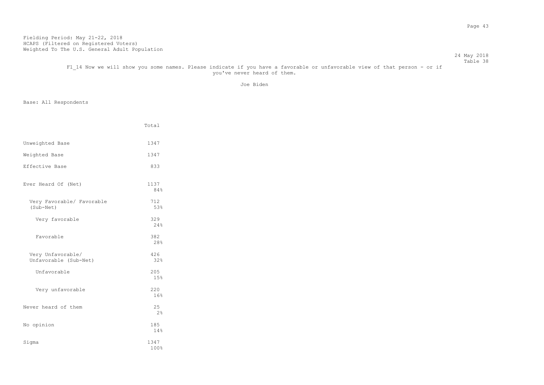#### Table 38 F1 14 Now we will show you some names. Please indicate if you have a favorable or unfavorable view of that person - or if you've never heard of them.

Joe Biden

24 May 2018

|                                            | Total        |
|--------------------------------------------|--------------|
| Unweighted Base                            | 1347         |
| Weighted Base                              | 1347         |
| Effective Base                             | 833          |
| Ever Heard Of (Net)                        | 1137<br>84%  |
| Very Favorable/ Favorable<br>(Sub-Net)     | 712<br>53%   |
| Very favorable                             | 329<br>24%   |
| Favorable                                  | 382<br>28%   |
| Very Unfavorable/<br>Unfavorable (Sub-Net) | 426<br>32%   |
| Unfavorable                                | 205<br>15%   |
| Very unfavorable                           | 220<br>16%   |
| Never heard of them                        | 25<br>2%     |
| No opinion                                 | 185<br>14%   |
| Sigma                                      | 1347<br>100% |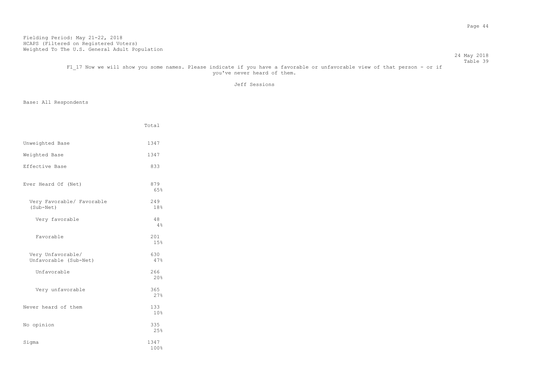#### 24 May 2018 Table 39

# F1 17 Now we will show you some names. Please indicate if you have a favorable or unfavorable view of that person - or if you've never heard of them.

Jeff Sessions

|                                            | Total        |
|--------------------------------------------|--------------|
| Unweighted Base                            | 1347         |
| Weighted Base                              | 1347         |
| Effective Base                             | 833          |
| Ever Heard Of (Net)                        | 879<br>65%   |
| Very Favorable/ Favorable<br>(Sub-Net)     | 249<br>18%   |
| Very favorable                             | 48<br>4%     |
| Favorable                                  | 201<br>15%   |
| Very Unfavorable/<br>Unfavorable (Sub-Net) | 630<br>47%   |
| Unfavorable                                | 266<br>20%   |
| Very unfavorable                           | 365<br>27%   |
| Never heard of them                        | 133<br>10%   |
| No opinion                                 | 335<br>25%   |
| Sigma                                      | 1347<br>100% |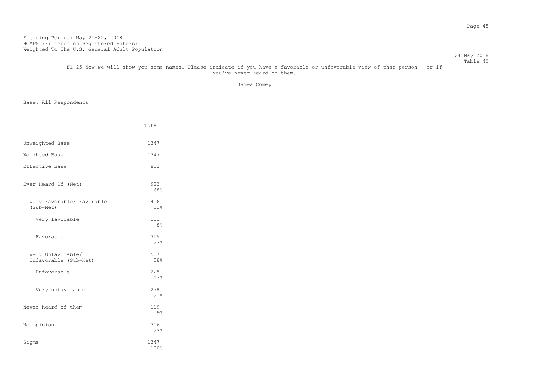#### 24 May 2018 Table 40 F1 25 Now we will show you some names. Please indicate if you have a favorable or unfavorable view of that person - or if you've never heard of them.

James Comey

|                                            | Total                 |
|--------------------------------------------|-----------------------|
| Unweighted Base                            | 1347                  |
| Weighted Base                              | 1347                  |
| Effective Base                             | 833                   |
| Ever Heard Of (Net)                        | 922<br>68%            |
| Very Favorable/ Favorable<br>(Sub-Net)     | 416<br>31%            |
| Very favorable                             | 111<br>8 <sup>°</sup> |
| Favorable                                  | 305<br>23%            |
| Very Unfavorable/<br>Unfavorable (Sub-Net) | 507<br>38%            |
| Unfavorable                                | 228<br>17%            |
| Very unfavorable                           | 278<br>21%            |
| Never heard of them                        | 119<br>9 <sub>8</sub> |
| No opinion                                 | 306<br>23%            |
| Sigma                                      | 1347<br>100%          |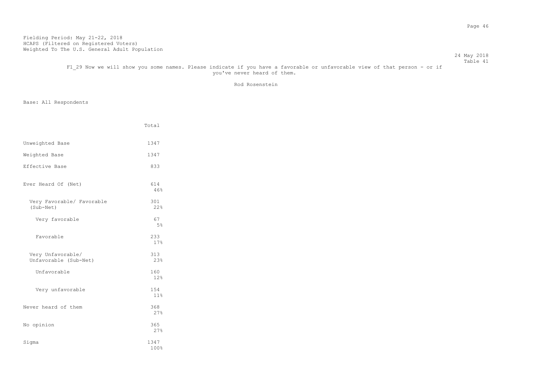#### 24 May 2018 Table 41

# F1 29 Now we will show you some names. Please indicate if you have a favorable or unfavorable view of that person - or if you've never heard of them.

Rod Rosenstein

|                                            | Total        |
|--------------------------------------------|--------------|
| Unweighted Base                            | 1347         |
| Weighted Base                              | 1347         |
| Effective Base                             | 833          |
| Ever Heard Of (Net)                        | 614<br>46%   |
| Very Favorable/ Favorable<br>(Sub-Net)     | 301<br>22%   |
| Very favorable                             | 67<br>5%     |
| Favorable                                  | 233<br>17%   |
| Very Unfavorable/<br>Unfavorable (Sub-Net) | 313<br>23%   |
| Unfavorable                                | 160<br>12%   |
| Very unfavorable                           | 154<br>11%   |
| Never heard of them                        | 368<br>27%   |
| No opinion                                 | 365<br>27%   |
| Sigma                                      | 1347<br>100% |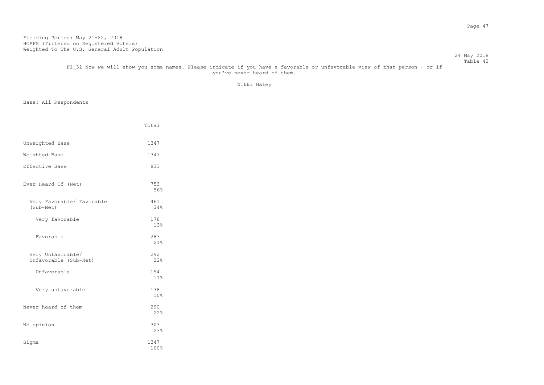#### 24 May 2018 Table 42

# F1 31 Now we will show you some names. Please indicate if you have a favorable or unfavorable view of that person - or if you've never heard of them.

Nikki Haley

|                                            | Total        |
|--------------------------------------------|--------------|
| Unweighted Base                            | 1347         |
| Weighted Base                              | 1347         |
| Effective Base                             | 833          |
| Ever Heard Of (Net)                        | 753<br>56%   |
| Very Favorable/ Favorable<br>(Sub-Net)     | 461<br>34%   |
| Very favorable                             | 178<br>13%   |
| Favorable                                  | 283<br>21%   |
| Very Unfavorable/<br>Unfavorable (Sub-Net) | 292<br>22%   |
| Unfavorable                                | 154<br>11%   |
| Very unfavorable                           | 138<br>10%   |
| Never heard of them                        | 290<br>22%   |
| No opinion                                 | 303<br>23%   |
| Sigma                                      | 1347<br>100% |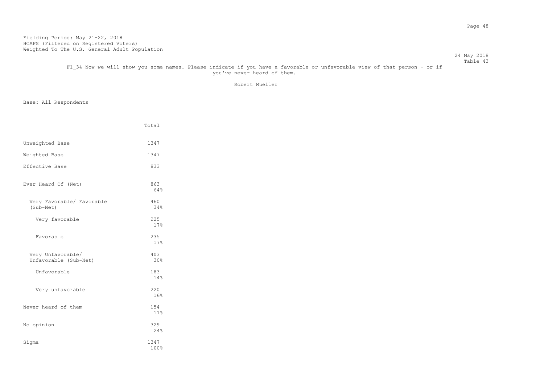#### 24 May 2018 Table 43

## F1 34 Now we will show you some names. Please indicate if you have a favorable or unfavorable view of that person - or if you've never heard of them.

Robert Mueller

|                                            | Total        |
|--------------------------------------------|--------------|
| Unweighted Base                            | 1347         |
| Weighted Base                              | 1347         |
| Effective Base                             | 833          |
| Ever Heard Of (Net)                        | 863<br>64%   |
| Very Favorable/ Favorable<br>(Sub-Net)     | 460<br>34%   |
| Very favorable                             | 225<br>17%   |
| Favorable                                  | 235<br>17%   |
| Very Unfavorable/<br>Unfavorable (Sub-Net) | 403<br>30%   |
| Unfavorable                                | 183<br>14%   |
| Very unfavorable                           | 220<br>16%   |
| Never heard of them                        | 154<br>11%   |
| No opinion                                 | 329<br>24%   |
| Sigma                                      | 1347<br>100% |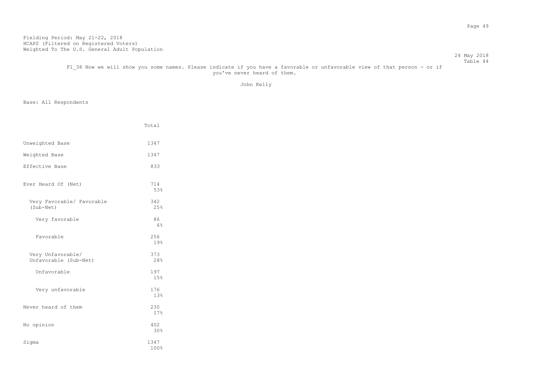#### Table 44 F1 38 Now we will show you some names. Please indicate if you have a favorable or unfavorable view of that person - or if you've never heard of them.

John Kelly

24 May 2018

|                                            | Total                |
|--------------------------------------------|----------------------|
| Unweighted Base                            | 1347                 |
| Weighted Base                              | 1347                 |
| Effective Base                             | 833                  |
| Ever Heard Of (Net)                        | 714<br>53%           |
| Very Favorable/ Favorable<br>(Sub-Net)     | 342<br>25%           |
| Very favorable                             | 86<br>6 <sup>°</sup> |
| Favorable                                  | 256<br>19%           |
| Very Unfavorable/<br>Unfavorable (Sub-Net) | 373<br>28%           |
| Unfavorable                                | 197<br>15%           |
| Very unfavorable                           | 176<br>13%           |
| Never heard of them                        | 230<br>17%           |
| No opinion                                 | 402<br>30%           |
| Sigma                                      | 1347<br>100%         |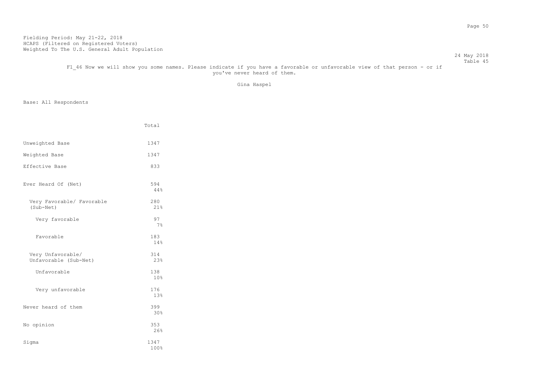#### 24 May 2018 Table 45

F1 46 Now we will show you some names. Please indicate if you have a favorable or unfavorable view of that person - or if you've never heard of them.

Gina Haspel

|                                            | Total        |
|--------------------------------------------|--------------|
| Unweighted Base                            | 1347         |
| Weighted Base                              | 1347         |
| Effective Base                             | 833          |
| Ever Heard Of (Net)                        | 594<br>44%   |
| Very Favorable/ Favorable<br>(Sub-Net)     | 280<br>21%   |
| Very favorable                             | 97<br>$7\%$  |
| Favorable                                  | 183<br>14%   |
| Very Unfavorable/<br>Unfavorable (Sub-Net) | 314<br>23%   |
| Unfavorable                                | 138<br>10%   |
| Very unfavorable                           | 176<br>13%   |
| Never heard of them                        | 399<br>30%   |
| No opinion                                 | 353<br>26%   |
| Sigma                                      | 1347<br>100% |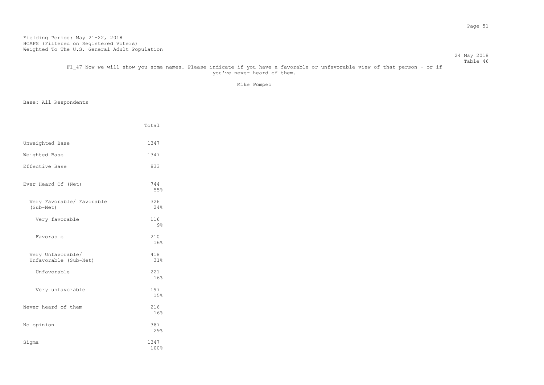#### 24 May 2018 Table 46

F1 47 Now we will show you some names. Please indicate if you have a favorable or unfavorable view of that person - or if you've never heard of them.

Mike Pompeo

|                                            | Total        |
|--------------------------------------------|--------------|
| Unweighted Base                            | 1347         |
| Weighted Base                              | 1347         |
| Effective Base                             | 833          |
| Ever Heard Of (Net)                        | 744<br>55%   |
| Very Favorable/ Favorable<br>(Sub-Net)     | 326<br>24%   |
| Very favorable                             | 116<br>9%    |
| Favorable                                  | 210<br>16%   |
| Very Unfavorable/<br>Unfavorable (Sub-Net) | 418<br>31%   |
| Unfavorable                                | 221<br>16%   |
| Very unfavorable                           | 197<br>15%   |
| Never heard of them                        | 216<br>16%   |
| No opinion                                 | 387<br>29%   |
| Sigma                                      | 1347<br>100% |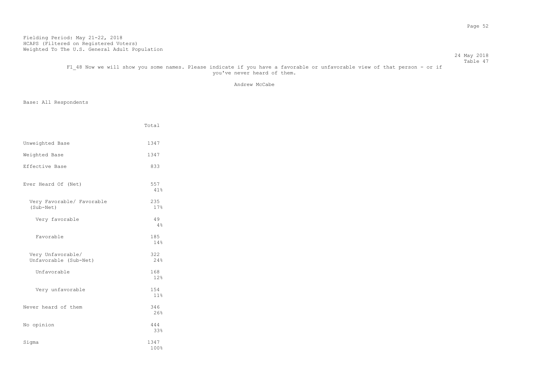#### 24 May 2018 Table 47

F1 48 Now we will show you some names. Please indicate if you have a favorable or unfavorable view of that person - or if you've never heard of them.

Andrew McCabe

|                                            | Total        |
|--------------------------------------------|--------------|
| Unweighted Base                            | 1347         |
| Weighted Base                              | 1347         |
| Effective Base                             | 833          |
| Ever Heard Of (Net)                        | 557<br>41%   |
| Very Favorable/ Favorable<br>(Sub-Net)     | 235<br>17%   |
| Very favorable                             | 49<br>4%     |
| Favorable                                  | 185<br>14%   |
| Very Unfavorable/<br>Unfavorable (Sub-Net) | 322<br>24%   |
| Unfavorable                                | 168<br>12%   |
| Very unfavorable                           | 154<br>11%   |
| Never heard of them                        | 346<br>26%   |
| No opinion                                 | 444<br>33%   |
| Sigma                                      | 1347<br>100% |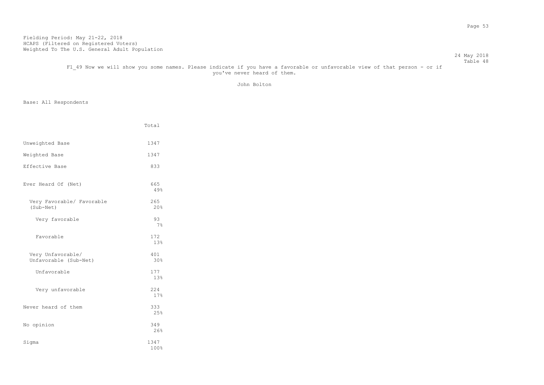#### 24 May 2018 Table 48

F1 49 Now we will show you some names. Please indicate if you have a favorable or unfavorable view of that person - or if you've never heard of them.

John Bolton

|                                            | Total        |
|--------------------------------------------|--------------|
| Unweighted Base                            | 1347         |
| Weighted Base                              | 1347         |
| Effective Base                             | 833          |
| Ever Heard Of (Net)                        | 665<br>49%   |
| Very Favorable/ Favorable<br>(Sub-Net)     | 265<br>20%   |
| Very favorable                             | 93<br>$7\%$  |
| Favorable                                  | 172<br>13%   |
| Very Unfavorable/<br>Unfavorable (Sub-Net) | 401<br>30%   |
| Unfavorable                                | 177<br>13%   |
| Very unfavorable                           | 224<br>17%   |
| Never heard of them                        | 333<br>25%   |
| No opinion                                 | 349<br>26%   |
| Sigma                                      | 1347<br>100% |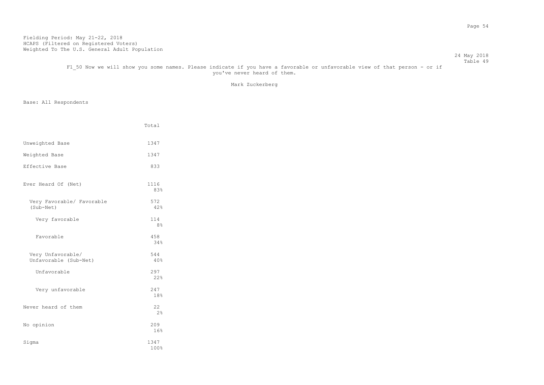#### 24 May 2018 Table 49

# F1 50 Now we will show you some names. Please indicate if you have a favorable or unfavorable view of that person - or if you've never heard of them.

Mark Zuckerberg

|                                            | Total                 |
|--------------------------------------------|-----------------------|
| Unweighted Base                            | 1347                  |
| Weighted Base                              | 1347                  |
| Effective Base                             | 833                   |
| Ever Heard Of (Net)                        | 1116<br>83%           |
| Very Favorable/ Favorable<br>(Sub-Net)     | 572<br>42%            |
| Very favorable                             | 114<br>8 <sup>°</sup> |
| Favorable                                  | 458<br>34%            |
| Very Unfavorable/<br>Unfavorable (Sub-Net) | 544<br>40%            |
| Unfavorable                                | 297<br>2.2%           |
| Very unfavorable                           | 247<br>18%            |
| Never heard of them                        | 22<br>2 <sup>°</sup>  |
| No opinion                                 | 209<br>16%            |
| Sigma                                      | 1347<br>100%          |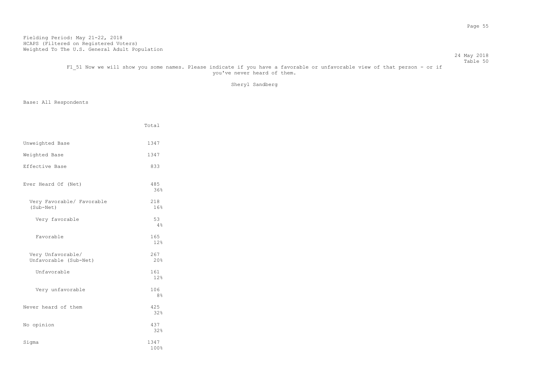#### 24 May 2018 Table 50

# F1 51 Now we will show you some names. Please indicate if you have a favorable or unfavorable view of that person - or if you've never heard of them.

Sheryl Sandberg

|                                            | Total                 |
|--------------------------------------------|-----------------------|
| Unweighted Base                            | 1347                  |
| Weighted Base                              | 1347                  |
| Effective Base                             | 833                   |
| Ever Heard Of (Net)                        | 485<br>36%            |
| Very Favorable/ Favorable<br>(Sub-Net)     | 218<br>16%            |
| Very favorable                             | 53<br>4%              |
| Favorable                                  | 165<br>12%            |
| Very Unfavorable/<br>Unfavorable (Sub-Net) | 267<br>20%            |
| Unfavorable                                | 161<br>12%            |
| Very unfavorable                           | 106<br>8 <sup>°</sup> |
| Never heard of them                        | 425<br>32%            |
| No opinion                                 | 437<br>32%            |
| Sigma                                      | 1347<br>100%          |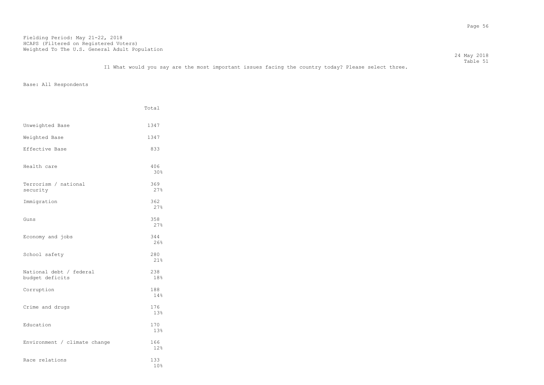Total

 24 May 2018 Table 51 I1 What would you say are the most important issues facing the country today? Please select three.

| Unweighted Base                            | 1347        |
|--------------------------------------------|-------------|
| Weighted Base                              | 1347        |
| Effective Base                             | 833         |
| Health care                                | 406<br>30%  |
| Terrorism / national<br>security           | 369<br>27%  |
| Immigration                                | 362<br>2.7% |
| Guns                                       | 358<br>27%  |
| Economy and jobs                           | 344<br>26%  |
| School safety                              | 280<br>21%  |
| National debt / federal<br>budget deficits | 238<br>18%  |
| Corruption                                 | 188<br>14%  |
| Crime and drugs                            | 176<br>13%  |
| Education                                  | 170<br>13%  |
| Environment / climate change               | 166<br>12%  |
| Race relations                             | 133<br>10%  |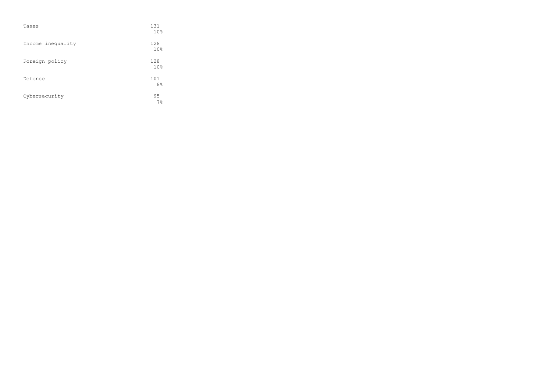| Taxes             | 131<br>10 <sup>°</sup> |
|-------------------|------------------------|
| Income inequality | 128<br>10%             |
| Foreign policy    | 128<br>10 <sup>°</sup> |
| Defense           | 101<br>8 <sup>°</sup>  |
| Cybersecurity     | 95<br>7%               |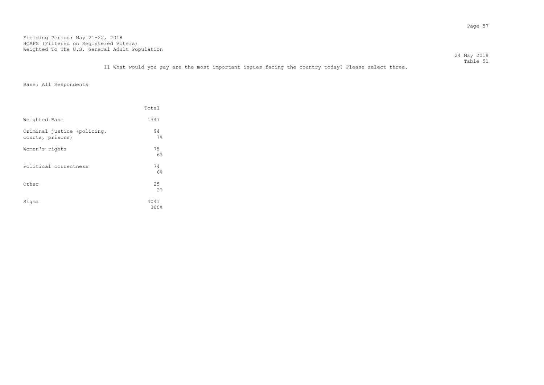I1 What would you say are the most important issues facing the country today? Please select three.

Base: All Respondents

|                                                 | Total        |
|-------------------------------------------------|--------------|
| Weighted Base                                   | 1347         |
| Criminal justice (policing,<br>courts, prisons) | 94<br>7%     |
| Women's rights                                  | 75<br>6%     |
| Political correctness                           | 74<br>6%     |
| Other                                           | 25<br>2.8    |
| Sigma                                           | 4041<br>300% |

 24 May 2018 Table 51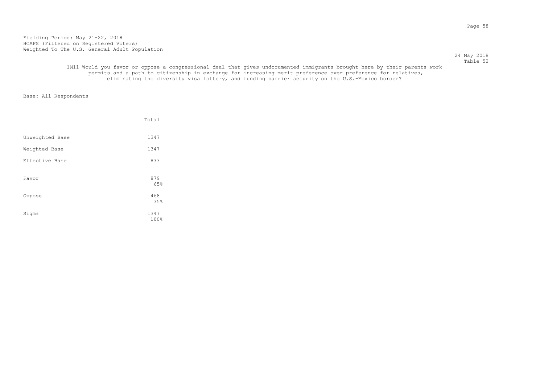24 May 2018 Table 52

### IM11 Would you favor or oppose a congressional deal that gives undocumented immigrants brought here by their parents work permits and a path to citizenship in exchange for increasing merit preference over preference for relatives, eliminating the diversity visa lottery, and funding barrier security on the U.S.-Mexico border?

|                 | Total               |
|-----------------|---------------------|
| Unweighted Base | 1347                |
| Weighted Base   | 1347                |
| Effective Base  | 833                 |
| Favor           | 879<br>65%          |
| Oppose          | 468                 |
| Sigma           | 35%<br>1347<br>100% |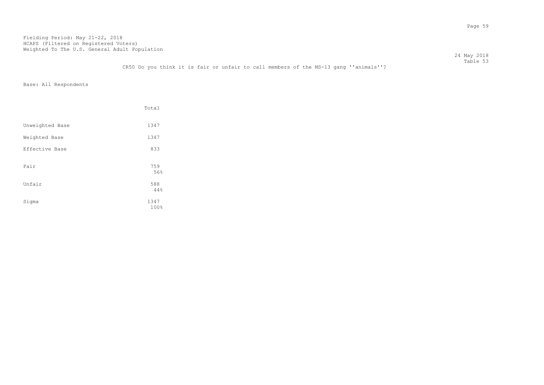24 May 2018 Table 53

CR50 Do you think it is fair or unfair to call members of the MS-13 gang ''animals''?

|                 | Total        |
|-----------------|--------------|
| Unweighted Base | 1347         |
| Weighted Base   | 1347         |
| Effective Base  | 833          |
| Fair            | 759<br>56%   |
| Unfair          | 588<br>44%   |
| Sigma           | 1347<br>100% |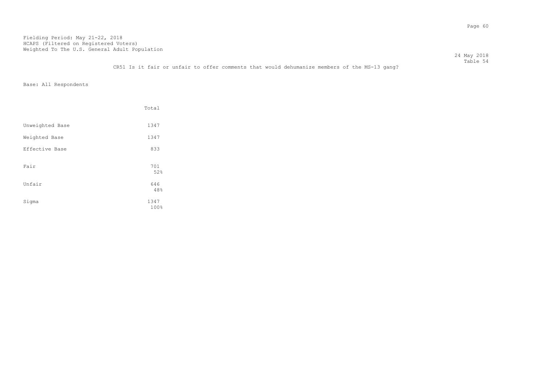24 May 2018 Table 54

### CR51 Is it fair or unfair to offer comments that would dehumanize members of the MS-13 gang?

|                 | Total        |
|-----------------|--------------|
| Unweighted Base | 1347         |
| Weighted Base   | 1347         |
| Effective Base  | 833          |
| Fair            | 701<br>52%   |
| Unfair          | 646<br>48%   |
| Sigma           | 1347<br>100% |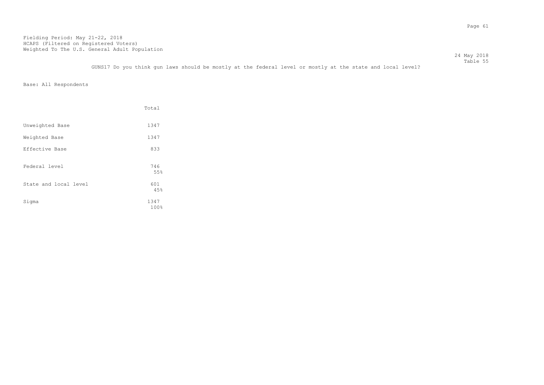Table 55 GUNS17 Do you think gun laws should be mostly at the federal level or mostly at the state and local level?

24 May 2018

|                       | Total        |
|-----------------------|--------------|
| Unweighted Base       | 1347         |
| Weighted Base         | 1347         |
| Effective Base        | 833          |
| Federal level         | 746<br>55%   |
| State and local level | 601<br>45%   |
| Sigma                 | 1347<br>100% |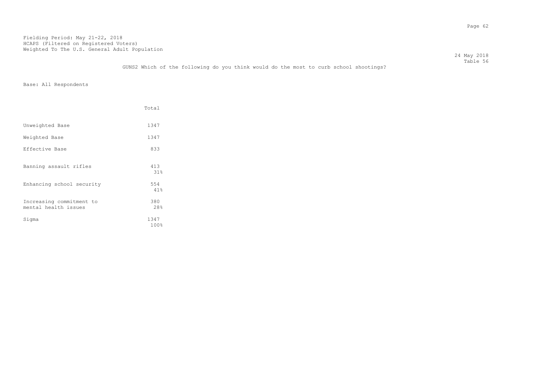24 May 2018 Table 56

GUNS2 Which of the following do you think would do the most to curb school shootings?

|                                                  | Total        |
|--------------------------------------------------|--------------|
| Unweighted Base                                  | 1347         |
| Weighted Base                                    | 1347         |
| Effective Base                                   | 833          |
| Banning assault rifles                           | 413<br>31%   |
| Enhancing school security                        | 554<br>41%   |
| Increasing commitment to<br>mental health issues | 380<br>28%   |
| Sigma                                            | 1347<br>100% |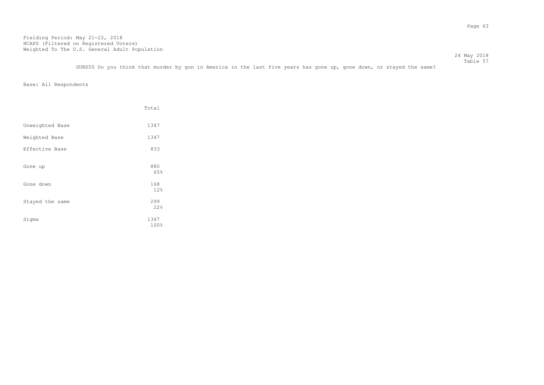24 May 2018 Table 57 GUNS50 Do you think that murder by gun in America in the last five years has gone up, gone down, or stayed the same?

|                 | Total        |
|-----------------|--------------|
| Unweighted Base | 1347         |
| Weighted Base   | 1347         |
| Effective Base  | 833          |
| Gone up         | 880<br>65%   |
| Gone down       | 168<br>12%   |
| Stayed the same | 299<br>22%   |
| Sigma           | 1347<br>100% |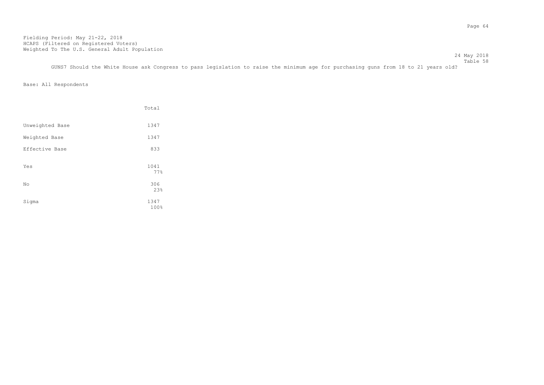Table 58 GUNS7 Should the White House ask Congress to pass legislation to raise the minimum age for purchasing guns from 18 to 21 years old?

24 May 2018

|                 | Total        |
|-----------------|--------------|
| Unweighted Base | 1347         |
| Weighted Base   | 1347         |
| Effective Base  | 833          |
| Yes             | 1041<br>77%  |
| No              | 306<br>23%   |
| Sigma           | 1347<br>100% |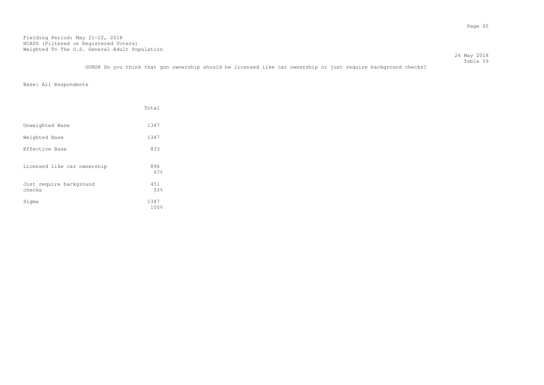Table 59 GUNS8 Do you think that gun ownership should be licensed like car ownership or just require background checks?

24 May 2018

|                                   | Total        |
|-----------------------------------|--------------|
| Unweighted Base                   | 1347         |
| Weighted Base                     | 1347         |
| Effective Base                    | 833          |
| Licensed like car ownership       | 896<br>67%   |
| Just require background<br>checks | 451<br>33%   |
| Sigma                             | 1347<br>100% |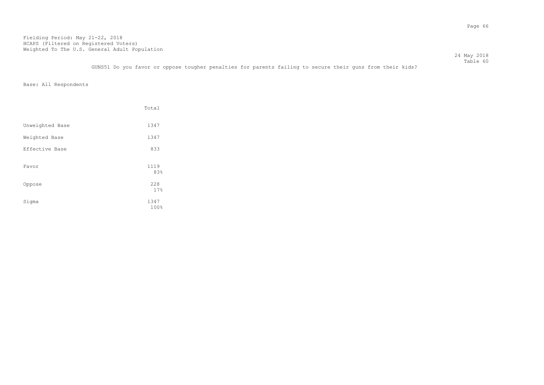Table 60 GUNS51 Do you favor or oppose tougher penalties for parents failing to secure their guns from their kids?

24 May 2018

|                 | Total        |
|-----------------|--------------|
| Unweighted Base | 1347         |
| Weighted Base   | 1347         |
| Effective Base  | 833          |
| Favor           | 1119<br>83%  |
| Oppose          | 228<br>17%   |
| Sigma           | 1347<br>100% |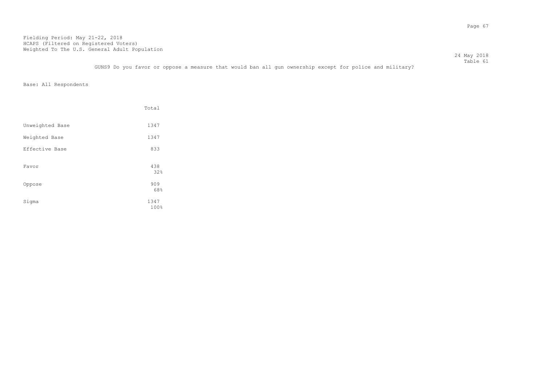|                                                                                                         | 24 May 2018 |
|---------------------------------------------------------------------------------------------------------|-------------|
|                                                                                                         | Table 61    |
| GUNS9 Do you favor or oppose a measure that would ban all qun ownership except for police and military? |             |

|                 | Total        |
|-----------------|--------------|
| Unweighted Base | 1347         |
| Weighted Base   | 1347         |
| Effective Base  | 833          |
| Favor           | 438<br>32%   |
| Oppose          | 909<br>68%   |
| Sigma           | 1347<br>100% |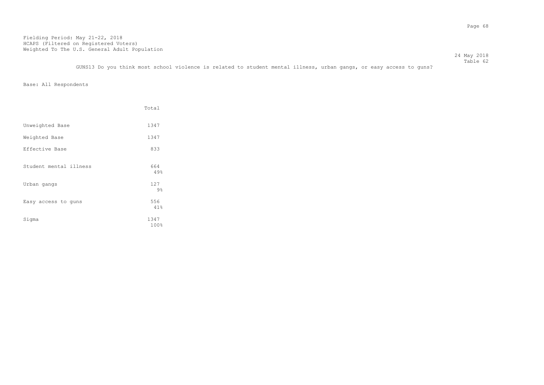24 May 2018 Table 62

GUNS13 Do you think most school violence is related to student mental illness, urban gangs, or easy access to guns?

|                        | Total               |
|------------------------|---------------------|
| Unweighted Base        | 1347                |
| Weighted Base          | 1347                |
| Effective Base         | 833                 |
| Student mental illness | 664<br>49%          |
| Urban gangs            | 127                 |
| Easy access to guns    | $9\%$<br>556<br>41% |
| Sigma                  | 1347<br>100%        |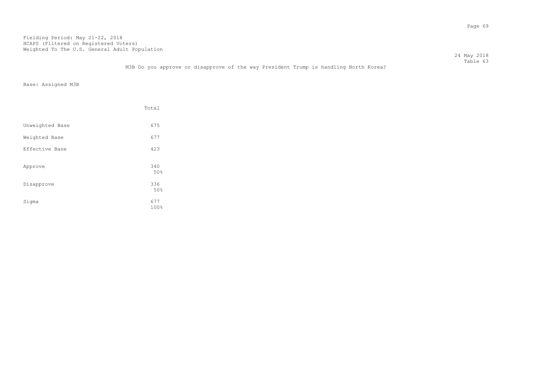24 May 2018 Table 63 M3B Do you approve or disapprove of the way President Trump is handling North Korea?

Base: Assigned M3B

|                 | Total       |
|-----------------|-------------|
| Unweighted Base | 675         |
| Weighted Base   | 677         |
| Effective Base  | 423         |
| Approve         | 340<br>50%  |
| Disapprove      | 336<br>50%  |
| Sigma           | 677<br>100% |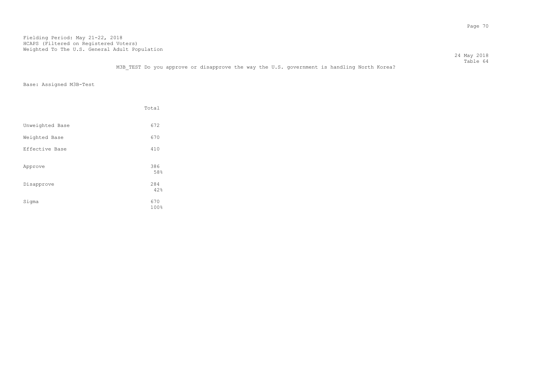24 May 2018 Table 64

M3B TEST Do you approve or disapprove the way the U.S. government is handling North Korea?

Base: Assigned M3B-Test

|                 | Total       |
|-----------------|-------------|
| Unweighted Base | 672         |
| Weighted Base   | 670         |
| Effective Base  | 410         |
| Approve         | 386<br>58%  |
| Disapprove      | 284<br>42%  |
| Sigma           | 670<br>100% |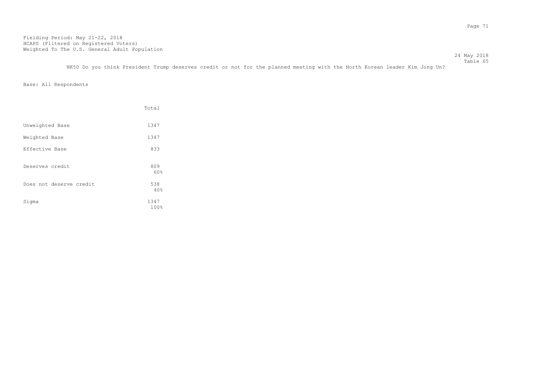Table 65 NK50 Do you think President Trump deserves credit or not for the planned meeting with the North Korean leader Kim Jong Un?

24 May 2018

|                         | Total        |
|-------------------------|--------------|
| Unweighted Base         | 1347         |
| Weighted Base           | 1347         |
| Effective Base          | 833          |
| Deserves credit         | 809<br>60%   |
| Does not deserve credit | 538<br>40%   |
| Sigma                   | 1347<br>100% |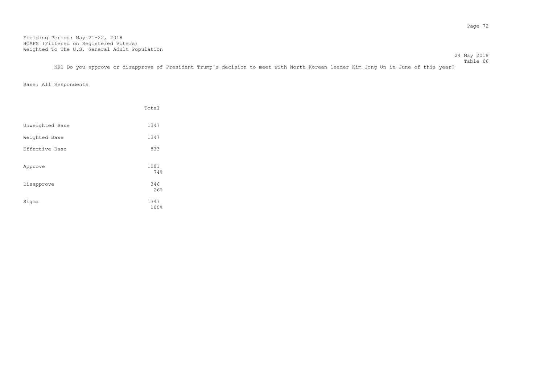Table 66 NK1 Do you approve or disapprove of President Trump's decision to meet with North Korean leader Kim Jong Un in June of this year?

24 May 2018

|                 | Total        |
|-----------------|--------------|
| Unweighted Base | 1347         |
| Weighted Base   | 1347         |
| Effective Base  | 833          |
| Approve         | 1001<br>74%  |
| Disapprove      | 346<br>26%   |
| Sigma           | 1347<br>100% |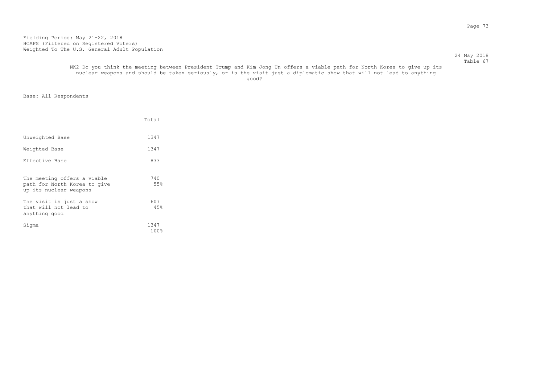#### 24 May 2018 Table 67

#### NK2 Do you think the meeting between President Trump and Kim Jong Un offers a viable path for North Korea to give up its nuclear weapons and should be taken seriously, or is the visit just a diplomatic show that will not lead to anything good? And the state of the state of the state of the state of the state of the state of the state of the state of the state of the state of the state of the state of the state of the state of the state of the state of the

|                                                                                       | Total                      |
|---------------------------------------------------------------------------------------|----------------------------|
| Unweighted Base                                                                       | 1347                       |
| Weighted Base                                                                         | 1347                       |
| Effective Base                                                                        | 833                        |
| The meeting offers a viable<br>path for North Korea to give<br>up its nuclear weapons | 740<br>55%                 |
| The visit is just a show<br>that will not lead to<br>anything good                    | 607<br>45%                 |
| Sigma                                                                                 | 1347<br>$100$ <sup>2</sup> |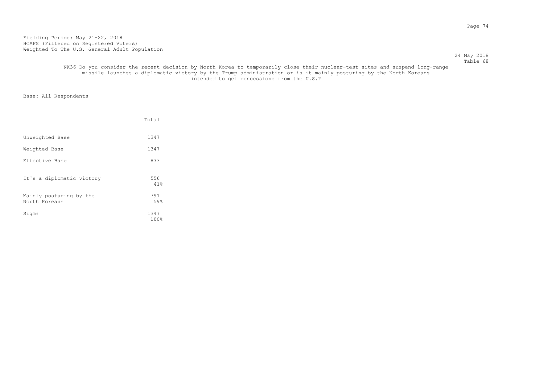#### 24 May 2018 Table 68

# NK36 Do you consider the recent decision by North Korea to temporarily close their nuclear-test sites and suspend long-range missile launches a diplomatic victory by the Trump administration or is it mainly posturing by the North Koreans intended to get concessions from the U.S.?

|                                          | Total        |
|------------------------------------------|--------------|
| Unweighted Base                          | 1347         |
| Weighted Base                            | 1347         |
| Effective Base                           | 833          |
| It's a diplomatic victory                | 556<br>41%   |
| Mainly posturing by the<br>North Koreans | 791<br>59%   |
| Sigma                                    | 1347<br>100% |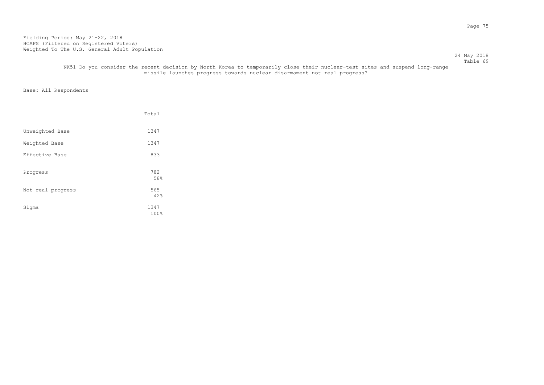24 May 2018 Table 69

# NK51 Do you consider the recent decision by North Korea to temporarily close their nuclear-test sites and suspend long-range missile launches progress towards nuclear disarmament not real progress?

|                   | Total        |
|-------------------|--------------|
| Unweighted Base   | 1347         |
| Weighted Base     | 1347         |
| Effective Base    | 833          |
| Progress          | 782<br>58%   |
| Not real progress | 565<br>42%   |
| Sigma             | 1347<br>100% |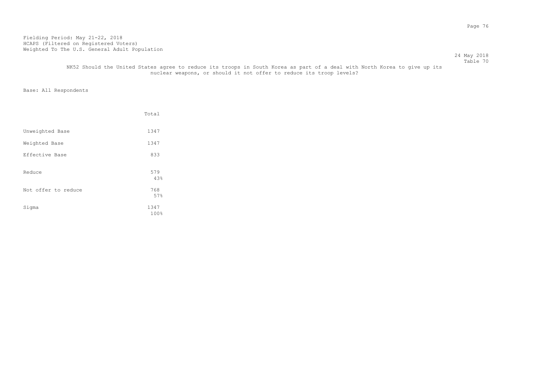#### 24 May 2018 Table 70

 NK52 Should the United States agree to reduce its troops in South Korea as part of a deal with North Korea to give up its nuclear weapons, or should it not offer to reduce its troop levels?

|                     | Total        |
|---------------------|--------------|
| Unweighted Base     | 1347         |
| Weighted Base       | 1347         |
| Effective Base      | 833          |
| Reduce              | 579<br>43%   |
| Not offer to reduce | 768<br>57%   |
| Sigma               | 1347<br>100% |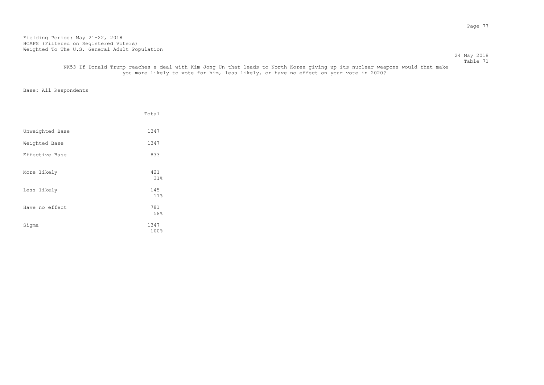24 May 2018 Table 71

# NK53 If Donald Trump reaches a deal with Kim Jong Un that leads to North Korea giving up its nuclear weapons would that make you more likely to vote for him, less likely, or have no effect on your vote in 2020?

|                 | Total                  |
|-----------------|------------------------|
| Unweighted Base | 1347                   |
| Weighted Base   | 1347                   |
| Effective Base  | 833                    |
| More likely     | 421<br>31%             |
| Less likely     | 145<br>11 <sup>°</sup> |
| Have no effect  | 781<br>58%             |
| Sigma           | 1347<br>100%           |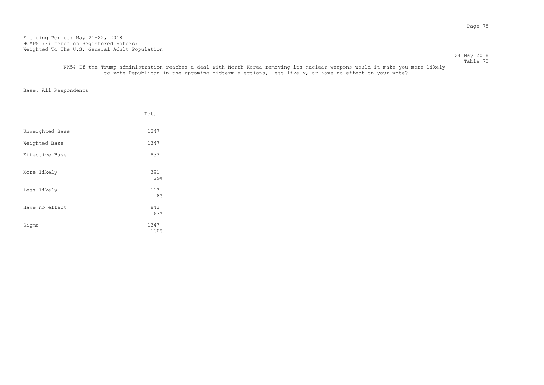24 May 2018 Table 72

# NK54 If the Trump administration reaches a deal with North Korea removing its nuclear weapons would it make you more likely to vote Republican in the upcoming midterm elections, less likely, or have no effect on your vote?

|                 | Total                        |
|-----------------|------------------------------|
| Unweighted Base | 1347                         |
| Weighted Base   | 1347                         |
| Effective Base  | 833                          |
| More likely     | 391<br>29%                   |
| Less likely     | 113                          |
| Have no effect  | 8 <sup>°</sup><br>843<br>63% |
| Sigma           | 1347<br>100%                 |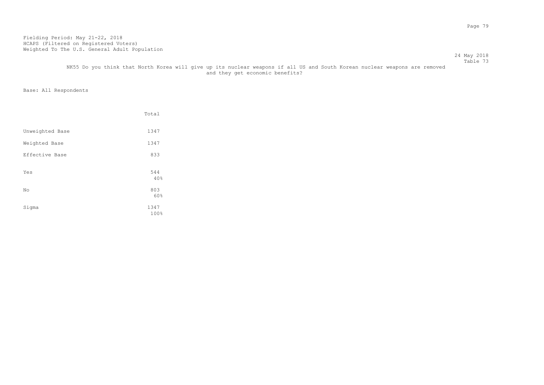#### Table 73 NK55 Do you think that North Korea will give up its nuclear weapons if all US and South Korean nuclear weapons are removed and they get economic benefits?

Base: All Respondents

|                 | Total               |
|-----------------|---------------------|
| Unweighted Base | 1347                |
| Weighted Base   | 1347                |
| Effective Base  | 833                 |
| Yes             | 544<br>40%          |
| No              | 803                 |
| Sigma           | 60%<br>1347<br>100% |

24 May 2018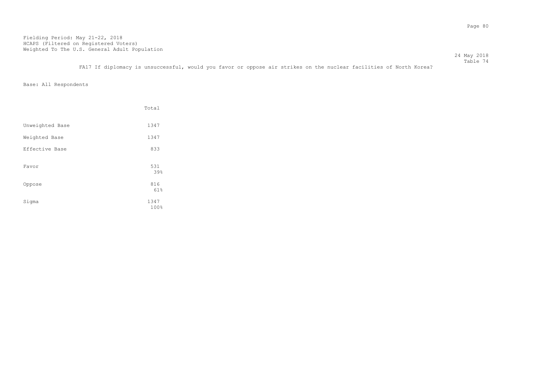Table 74 FA17 If diplomacy is unsuccessful, would you favor or oppose air strikes on the nuclear facilities of North Korea?

24 May 2018

|                 | Total        |
|-----------------|--------------|
| Unweighted Base | 1347         |
| Weighted Base   | 1347         |
| Effective Base  | 833          |
| Favor           | 531<br>39%   |
| Oppose          | 816<br>61%   |
| Sigma           | 1347<br>100% |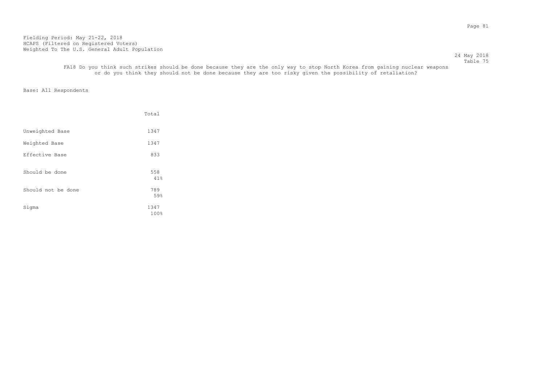24 May 2018 Table 75

 FA18 Do you think such strikes should be done because they are the only way to stop North Korea from gaining nuclear weapons or do you think they should not be done because they are too risky given the possibility of retaliation?

|                    | Total        |
|--------------------|--------------|
| Unweighted Base    | 1347         |
| Weighted Base      | 1347         |
| Effective Base     | 833          |
| Should be done     | 558<br>41%   |
| Should not be done | 789<br>59%   |
| Sigma              | 1347<br>100% |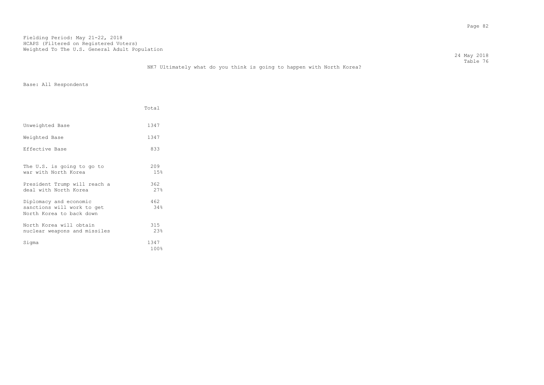24 May 2018 Table 76

|                                                                                    | Total             |
|------------------------------------------------------------------------------------|-------------------|
| Unweighted Base                                                                    | 1347              |
| Weighted Base                                                                      | 1347              |
| Effective Base                                                                     | 833               |
| The U.S. is going to go to<br>war with North Korea<br>President Trump will reach a | 209<br>15%<br>362 |
| deal with North Korea                                                              | 27%               |
| Diplomacy and economic<br>sanctions will work to get<br>North Korea to back down   | 462<br>34%        |
| North Korea will obtain<br>nuclear weapons and missiles                            | 315<br>2.3%       |
| Sigma                                                                              | 1347<br>100%      |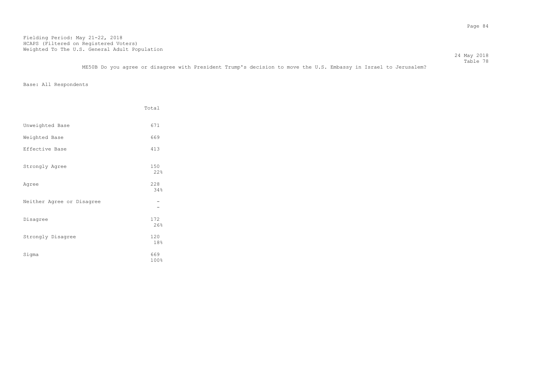Table 78 ME50B Do you agree or disagree with President Trump's decision to move the U.S. Embassy in Israel to Jerusalem?

24 May 2018

|                           | Total       |
|---------------------------|-------------|
| Unweighted Base           | 671         |
| Weighted Base             | 669         |
| Effective Base            | 413         |
| Strongly Agree            | 150<br>22%  |
| Agree                     | 228<br>34%  |
| Neither Agree or Disagree |             |
| Disagree                  | 172<br>26%  |
| Strongly Disagree         | 120<br>18%  |
| Sigma                     | 669<br>100% |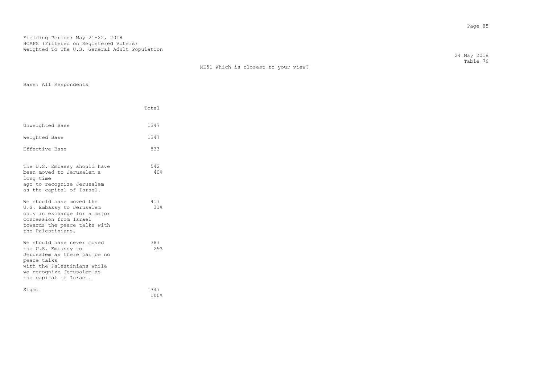|                       |       | ME51 Which is closest to your view? | 24 May 2018<br>Table 79 |
|-----------------------|-------|-------------------------------------|-------------------------|
| Base: All Respondents |       |                                     |                         |
|                       | Total |                                     |                         |
| Unweighted Base       | 1347  |                                     |                         |
| Weighted Base         | 1347  |                                     |                         |
|                       |       |                                     |                         |

| The U.S. Embassy should have<br>been moved to Jerusalem a<br>long time<br>ago to recognize Jerusalem<br>as the capital of Israel.                                                      | 542<br>40%               |
|----------------------------------------------------------------------------------------------------------------------------------------------------------------------------------------|--------------------------|
| We should have moved the<br>U.S. Embassy to Jerusalem<br>only in exchange for a major<br>concession from Israel<br>towards the peace talks with<br>the Palestinians.                   | 417<br>31%               |
| We should have never moved<br>the U.S. Embassy to<br>Jerusalem as there can be no<br>peace talks<br>with the Palestinians while<br>we recognize Jerusalem as<br>the capital of Israel. | 387<br>$29$ <sup>2</sup> |

Sigma 1347<br>100% 100% 100% 100% 100% and the matrix of the matrix of the matrix of the matrix of the matrix of the matrix of the matrix of the matrix of the matrix of the matrix of the matrix of the matrix of the matrix of the matrix of the matrix of th

|  | The U.S. Embassy should have |  |  |
|--|------------------------------|--|--|

| Weighted Base  | 1347 |
|----------------|------|
| Effective Base | 833  |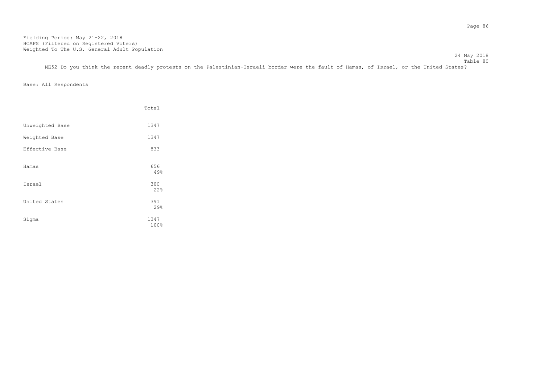Table 80 ME52 Do you think the recent deadly protests on the Palestinian-Israeli border were the fault of Hamas, of Israel, or the United States?

Base: All Respondents

|                 | Total        |
|-----------------|--------------|
| Unweighted Base | 1347         |
| Weighted Base   | 1347         |
| Effective Base  | 833          |
| Hamas           | 656<br>49%   |
| Israel          | 300<br>22%   |
| United States   | 391<br>29%   |
| Sigma           | 1347<br>100% |

24 May 2018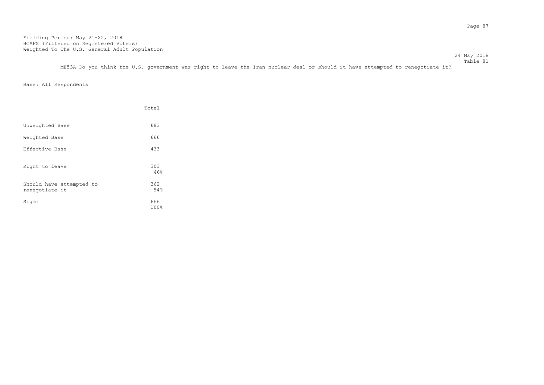Table 81 ME53A Do you think the U.S. government was right to leave the Iran nuclear deal or should it have attempted to renegotiate it?

24 May 2018

|                                            | Total       |
|--------------------------------------------|-------------|
| Unweighted Base                            | 683         |
| Weighted Base                              | 666         |
| Effective Base                             | 433         |
| Right to leave                             | 303<br>46%  |
| Should have attempted to<br>renegotiate it | 362<br>54%  |
| Sigma                                      | 666<br>100% |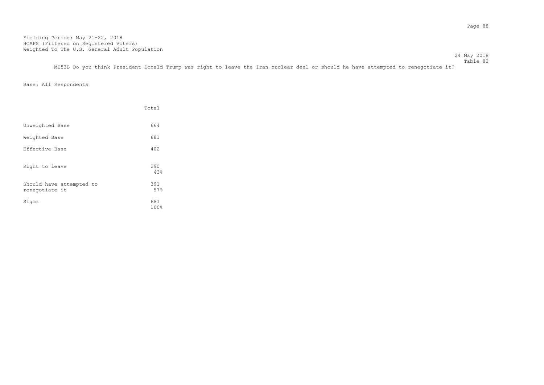24 May 2018 Table 82 ME53B Do you think President Donald Trump was right to leave the Iran nuclear deal or should he have attempted to renegotiate it?

|                                            | Total       |
|--------------------------------------------|-------------|
| Unweighted Base                            | 664         |
| Weighted Base                              | 681         |
| Effective Base                             | 402         |
| Right to leave                             | 290<br>43%  |
| Should have attempted to<br>renegotiate it | 391<br>57%  |
| Sigma                                      | 681<br>100% |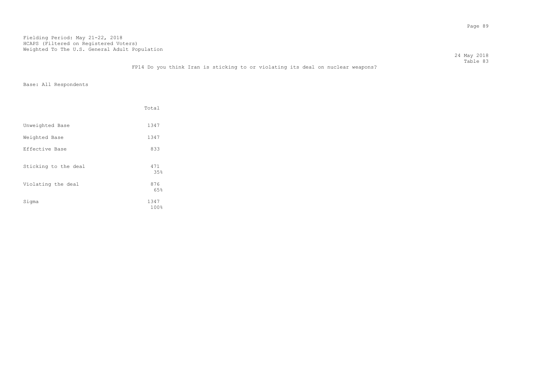Table 83 FP14 Do you think Iran is sticking to or violating its deal on nuclear weapons?

Base: All Respondents

|                      | Total        |
|----------------------|--------------|
| Unweighted Base      | 1347         |
| Weighted Base        | 1347         |
| Effective Base       | 833          |
| Sticking to the deal | 471<br>35%   |
| Violating the deal   | 876<br>65%   |
| Sigma                | 1347<br>100% |

24 May 2018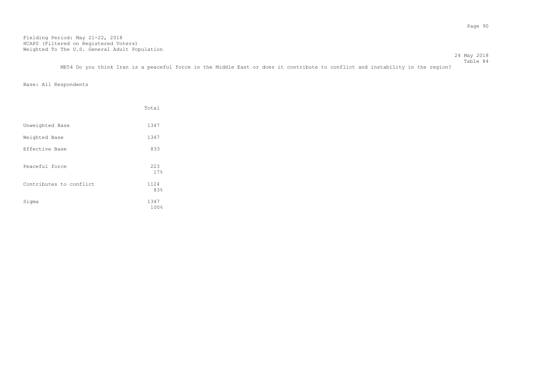Table 84 ME54 Do you think Iran is a peaceful force in the Middle East or does it contribute to conflict and instability in the region?

24 May 2018

|                         | Total        |
|-------------------------|--------------|
| Unweighted Base         | 1347         |
| Weighted Base           | 1347         |
| Effective Base          | 833          |
| Peaceful force          | 223<br>17%   |
| Contributes to conflict | 1124<br>83%  |
| Sigma                   | 1347<br>100% |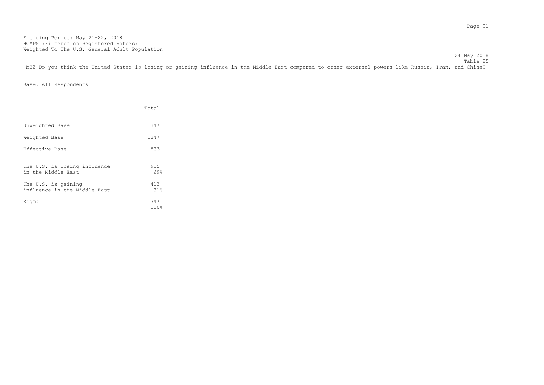24 May 2018 Table 85 ME2 Do you think the United States is losing or gaining influence in the Middle East compared to other external powers like Russia, Iran, and China?

|                                                     | Total         |
|-----------------------------------------------------|---------------|
| Unweighted Base                                     | 1347          |
| Weighted Base                                       | 1347          |
| Effective Base                                      | 833           |
| The U.S. is losing influence<br>in the Middle East  | 935<br>69%    |
| The U.S. is gaining<br>influence in the Middle East | 412<br>$31\%$ |
| Sigma                                               | 1347<br>100%  |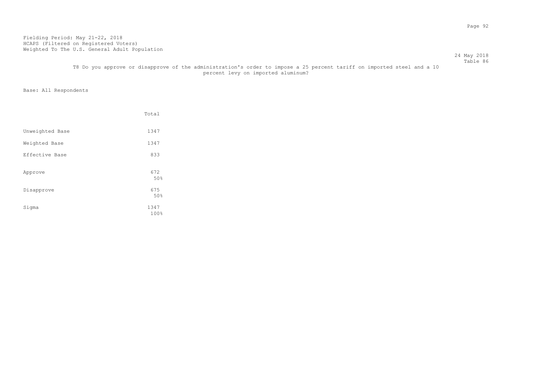#### 24 May 2018 Table 86

# T8 Do you approve or disapprove of the administration's order to impose a 25 percent tariff on imported steel and a 10 percent levy on imported aluminum?

|                 | Total               |
|-----------------|---------------------|
| Unweighted Base | 1347                |
| Weighted Base   | 1347                |
| Effective Base  | 833                 |
| Approve         | 672<br>50%          |
| Disapprove      | 675                 |
| Sigma           | 50%<br>1347<br>100% |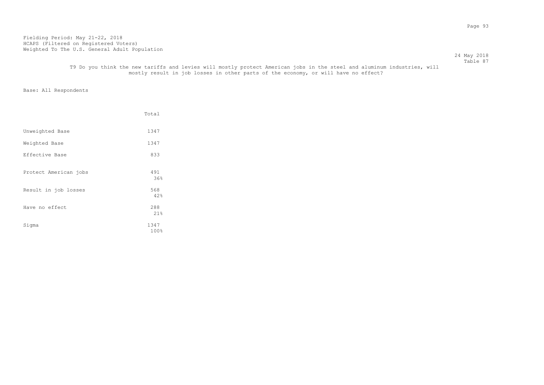#### 24 May 2018 Table 87

# T9 Do you think the new tariffs and levies will mostly protect American jobs in the steel and aluminum industries, will mostly result in job losses in other parts of the economy, or will have no effect?

|                       | Total        |
|-----------------------|--------------|
| Unweighted Base       | 1347         |
| Weighted Base         | 1347         |
| Effective Base        | 833          |
| Protect American jobs | 491<br>36%   |
| Result in job losses  | 568<br>42%   |
| Have no effect        | 288<br>21%   |
| Sigma                 | 1347<br>100% |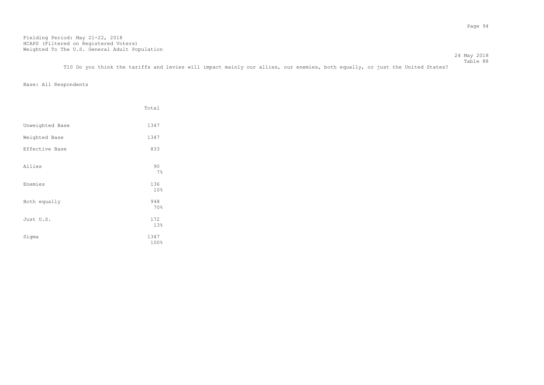Table 88 T10 Do you think the tariffs and levies will impact mainly our allies, our enemies, both equally, or just the United States?

24 May 2018

|                 | Total        |
|-----------------|--------------|
| Unweighted Base | 1347         |
| Weighted Base   | 1347         |
| Effective Base  | 833          |
| Allies          | 90<br>7%     |
| Enemies         | 136<br>10%   |
| Both equally    | 948<br>70%   |
| Just U.S.       | 172<br>13%   |
| Sigma           | 1347<br>100% |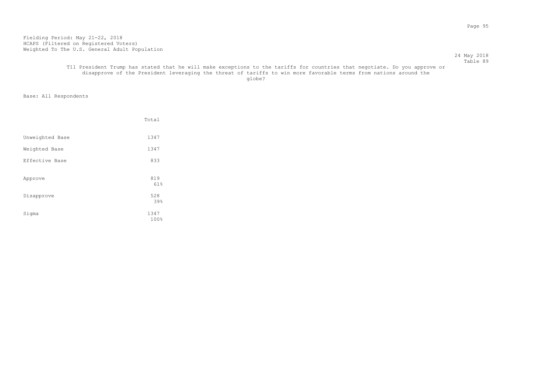#### 24 May 2018 Table 89

## T11 President Trump has stated that he will make exceptions to the tariffs for countries that negotiate. Do you approve or disapprove of the President leveraging the threat of tariffs to win more favorable terms from nations around the globe? The contract of the contract of the contract of the contract of the contract of the contract of the contract of the contract of the contract of the contract of the contract of the contract of the contract of the con

|                 | Total        |
|-----------------|--------------|
| Unweighted Base | 1347         |
| Weighted Base   | 1347         |
| Effective Base  | 833          |
| Approve         | 819<br>61%   |
| Disapprove      | 528<br>39%   |
| Sigma           | 1347<br>100% |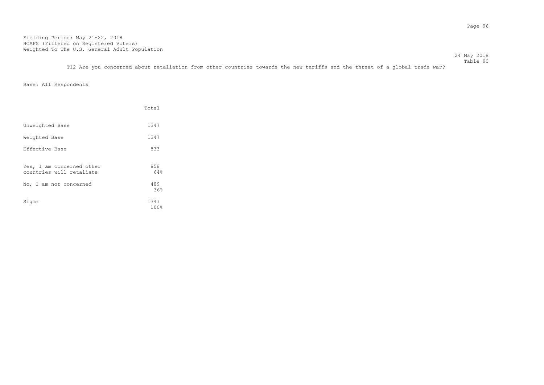24 May 2018 Table 90

T12 Are you concerned about retaliation from other countries towards the new tariffs and the threat of a global trade war?

|                                                       | Total        |
|-------------------------------------------------------|--------------|
| Unweighted Base                                       | 1347         |
| Weighted Base                                         | 1347         |
| Effective Base                                        | 833          |
| Yes, I am concerned other<br>countries will retaliate | 858<br>64%   |
| No, I am not concerned                                | 489<br>36%   |
| Sigma                                                 | 1347<br>100% |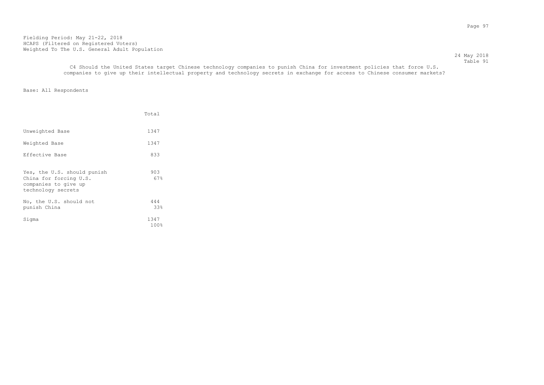24 May 2018 Table 91

 C4 Should the United States target Chinese technology companies to punish China for investment policies that force U.S. companies to give up their intellectual property and technology secrets in exchange for access to Chinese consumer markets?

|                                                                                                     | Total        |
|-----------------------------------------------------------------------------------------------------|--------------|
| Unweighted Base                                                                                     | 1347         |
| Weighted Base                                                                                       | 1347         |
| Effective Base                                                                                      | 833          |
| Yes, the U.S. should punish<br>China for forcing U.S.<br>companies to give up<br>technology secrets | 903<br>67%   |
| No, the U.S. should not<br>punish China                                                             | 444<br>33%   |
| Sigma                                                                                               | 1347<br>100% |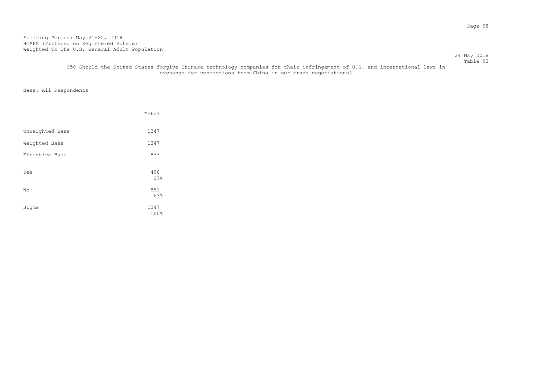24 May 2018 Table 92

# C50 Should the United States forgive Chinese technology companies for their infringement of U.S. and international laws in exchange for concessions from China in our trade negotiations?

|                 | Total        |
|-----------------|--------------|
| Unweighted Base | 1347         |
| Weighted Base   | 1347         |
| Effective Base  | 833          |
| Yes             | 496<br>37%   |
| No              | 851<br>63%   |
| Sigma           | 1347<br>100% |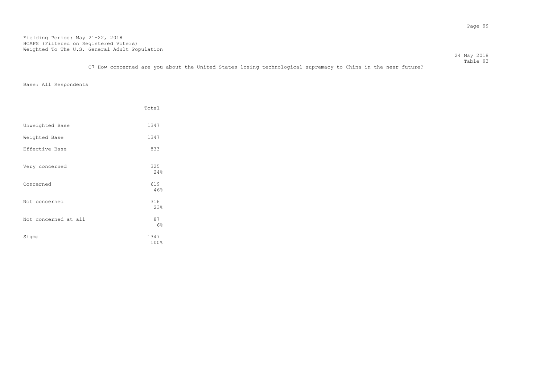Table 93 C7 How concerned are you about the United States losing technological supremacy to China in the near future?

24 May 2018

|                      | Total        |
|----------------------|--------------|
| Unweighted Base      | 1347         |
| Weighted Base        | 1347         |
| Effective Base       | 833          |
| Very concerned       | 325<br>24%   |
| Concerned            | 619<br>46%   |
| Not concerned        | 316<br>23%   |
| Not concerned at all | 87<br>6%     |
| Sigma                | 1347<br>100% |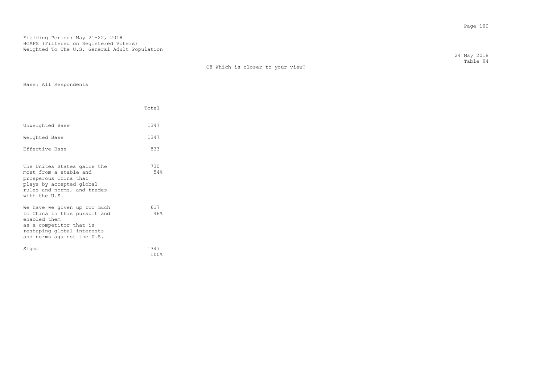| C8 Which is closer to your view? |  |  |  |
|----------------------------------|--|--|--|
|                                  |  |  |  |

Base: All Respondents

|                                                                                                                                                                     | Total        |
|---------------------------------------------------------------------------------------------------------------------------------------------------------------------|--------------|
| Unweighted Base                                                                                                                                                     | 1347         |
| Weighted Base                                                                                                                                                       | 1347         |
| Effective Base                                                                                                                                                      | 833          |
| The Unites States gains the<br>most from a stable and<br>prosperous China that<br>plays by accepted global<br>rules and norms, and trades<br>with the U.S.          | 730<br>54%   |
| We have we qiven up too much<br>to China in this pursuit and<br>enabled them<br>as a competitor that is<br>reshaping global interests<br>and norms against the U.S. | 617<br>46%   |
| Sigma                                                                                                                                                               | 1347<br>100% |

 24 May 2018 Table 94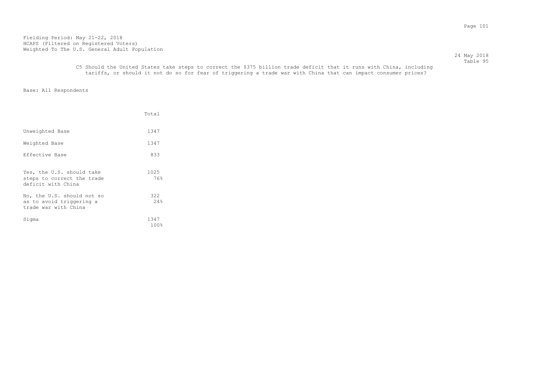24 May 2018 Table 95

# C5 Should the United States take steps to correct the \$375 billion trade deficit that it runs with China, including tariffs, or should it not do so for fear of triggering a trade war with China that can impact consumer prices?

|                                                                                | Total        |
|--------------------------------------------------------------------------------|--------------|
| Unweighted Base                                                                | 1347         |
| Weighted Base                                                                  | 1347         |
| Effective Base                                                                 | 833          |
| Yes, the U.S. should take<br>steps to correct the trade<br>deficit with China  | 1025<br>76%  |
| No, the U.S. should not so<br>as to avoid triggering a<br>trade war with China | 322<br>2.4%  |
| Sigma                                                                          | 1347<br>100% |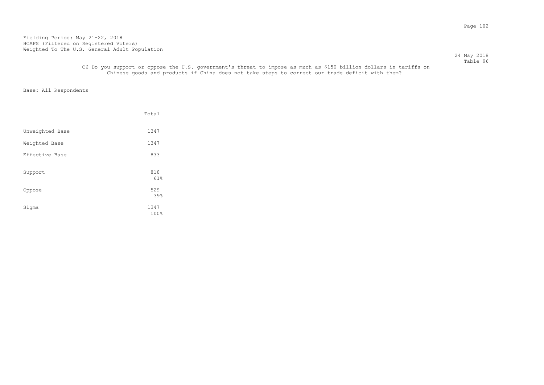24 May 2018 Table 96

## C6 Do you support or oppose the U.S. government's threat to impose as much as \$150 billion dollars in tariffs on Chinese goods and products if China does not take steps to correct our trade deficit with them?

|                 | Total        |
|-----------------|--------------|
| Unweighted Base | 1347         |
| Weighted Base   | 1347         |
| Effective Base  | 833          |
| Support         | 818<br>61%   |
| Oppose          | 529<br>39%   |
| Sigma           | 1347<br>100% |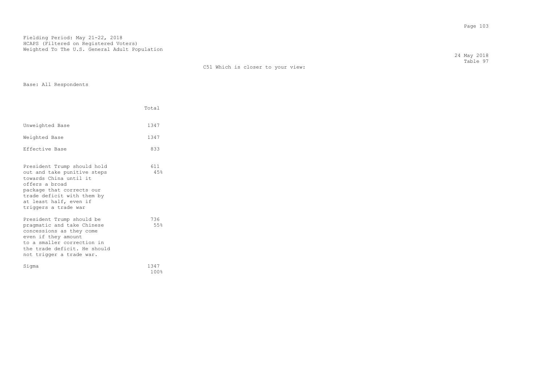|  | C51 Which is closer to your view: |  |  |  |  |  |
|--|-----------------------------------|--|--|--|--|--|
|--|-----------------------------------|--|--|--|--|--|

Base: All Respondents

|                                                                                                                                                                                                                     | Total        |
|---------------------------------------------------------------------------------------------------------------------------------------------------------------------------------------------------------------------|--------------|
| Unweighted Base                                                                                                                                                                                                     | 1347         |
| Weighted Base                                                                                                                                                                                                       | 1347         |
| Effective Base                                                                                                                                                                                                      | 833          |
| President Trump should hold<br>out and take punitive steps<br>towards China until it<br>offers a broad<br>package that corrects our<br>trade deficit with them by<br>at least half, even if<br>triggers a trade war | 611<br>45%   |
| President Trump should be<br>pragmatic and take Chinese<br>concessions as they come<br>even if they amount<br>to a smaller correction in<br>the trade deficit. He should<br>not trigger a trade war.                | 736<br>55%   |
| Sigma                                                                                                                                                                                                               | 1347<br>100% |

 24 May 2018 Table 97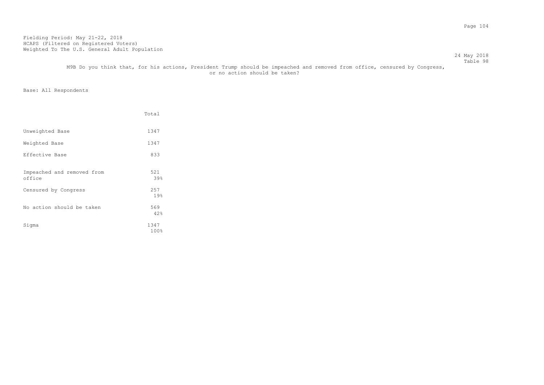#### Table 98 M9B Do you think that, for his actions, President Trump should be impeached and removed from office, censured by Congress, or no action should be taken?

24 May 2018

|                                      | Total        |
|--------------------------------------|--------------|
| Unweighted Base                      | 1347         |
| Weighted Base                        | 1347         |
| Effective Base                       | 833          |
| Impeached and removed from<br>office | 521<br>39%   |
| Censured by Congress                 | 2.57<br>19%  |
| No action should be taken            | 569<br>42%   |
| Sigma                                | 1347<br>100% |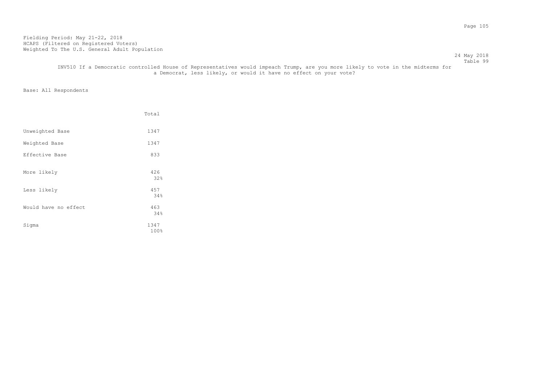24 May 2018 Table 99

## INV510 If a Democratic controlled House of Representatives would impeach Trump, are you more likely to vote in the midterms for a Democrat, less likely, or would it have no effect on your vote?

|                      | Total        |
|----------------------|--------------|
| Unweighted Base      | 1347         |
| Weighted Base        | 1347         |
| Effective Base       | 833          |
| More likely          | 426<br>32%   |
| Less likely          | 457<br>34%   |
| Would have no effect | 463<br>34%   |
| Sigma                | 1347<br>100% |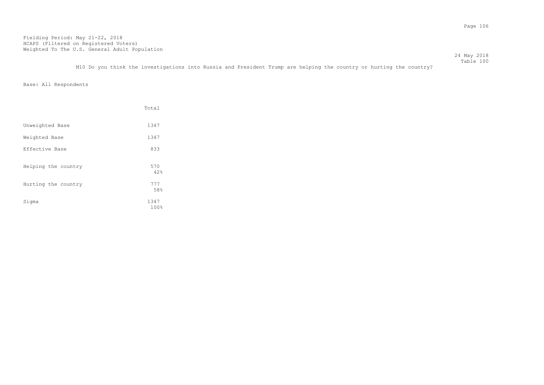Table 100 M10 Do you think the investigations into Russia and President Trump are helping the country or hurting the country?

24 May 2018

|                     | Total        |
|---------------------|--------------|
| Unweighted Base     | 1347         |
| Weighted Base       | 1347         |
| Effective Base      | 833          |
| Helping the country | 570<br>42%   |
| Hurting the country | 777<br>58%   |
| Sigma               | 1347<br>100% |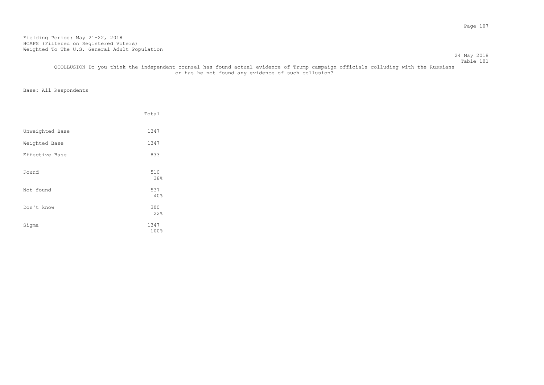24 May 2018 Table 101

## QCOLLUSION Do you think the independent counsel has found actual evidence of Trump campaign officials colluding with the Russians or has he not found any evidence of such collusion?

|                 | Total |
|-----------------|-------|
|                 |       |
| Unweighted Base | 1347  |
| Weighted Base   | 1347  |
| Effective Base  | 833   |
|                 |       |
| Found           | 510   |
|                 | 38%   |
| Not found       | 537   |
|                 | 40%   |
| Don't know      | 300   |
|                 | 22%   |
| Sigma           | 1347  |
|                 | 100%  |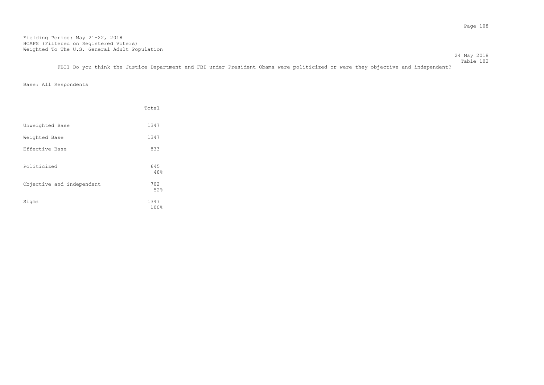Table 102 FBI1 Do you think the Justice Department and FBI under President Obama were politicized or were they objective and independent?

Base: All Respondents

|                           | Total        |
|---------------------------|--------------|
| Unweighted Base           | 1347         |
| Weighted Base             | 1347         |
| Effective Base            | 833          |
| Politicized               | 645<br>48%   |
| Objective and independent | 702<br>52%   |
| Sigma                     | 1347<br>100% |

24 May 2018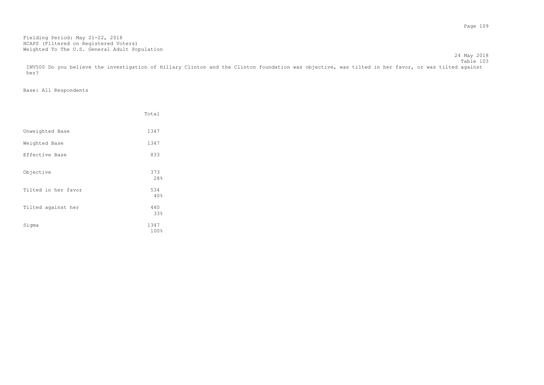Table 103 INV500 Do you believe the investigation of Hillary Clinton and the Clinton foundation was objective, was tilted in her favor, or was tilted against her?

24 May 2018

|                     | Total        |
|---------------------|--------------|
| Unweighted Base     | 1347         |
| Weighted Base       | 1347         |
| Effective Base      | 833          |
| Objective           | 373<br>28%   |
| Tilted in her favor | 534<br>40%   |
| Tilted against her  | 440<br>33%   |
| Sigma               | 1347<br>100% |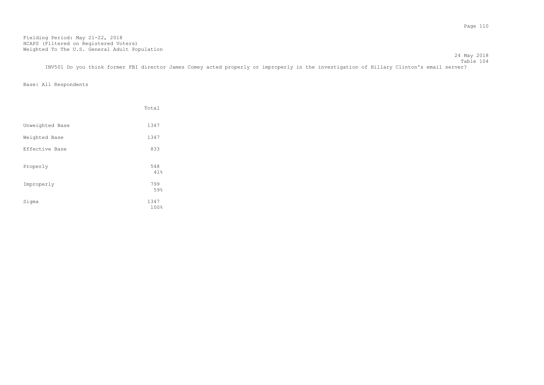24 May 2018 Table 104

INV501 Do you think former FBI director James Comey acted properly or improperly in the investigation of Hillary Clinton's email server?

|                 | Total        |
|-----------------|--------------|
| Unweighted Base | 1347         |
| Weighted Base   | 1347         |
| Effective Base  | 833          |
| Properly        | 548<br>41%   |
| Improperly      | 799<br>59%   |
| Sigma           | 1347<br>100% |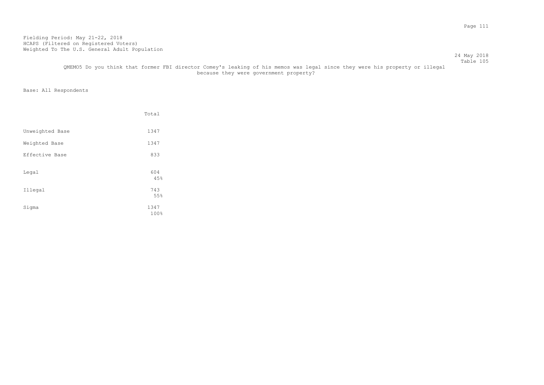#### 24 May 2018 Table 105

# QMEMO5 Do you think that former FBI director Comey's leaking of his memos was legal since they were his property or illegal because they were government property?

|                 | Total               |
|-----------------|---------------------|
| Unweighted Base | 1347                |
| Weighted Base   | 1347                |
| Effective Base  | 833                 |
| Legal           | 604<br>45%          |
| Illegal         | 743                 |
| Sigma           | 55%<br>1347<br>100% |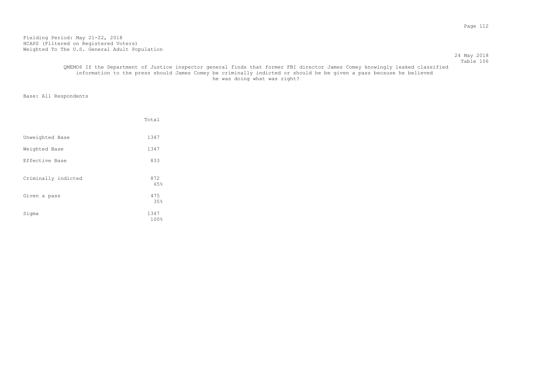#### 24 May 2018 Table 106

## QMEMO6 If the Department of Justice inspector general finds that former FBI director James Comey knowingly leaked classified information to the press should James Comey be criminally indicted or should he be given a pass because he believed he was doing what was right?

|                     | Total        |
|---------------------|--------------|
| Unweighted Base     | 1347         |
| Weighted Base       | 1347         |
| Effective Base      | 833          |
| Criminally indicted | 872<br>65%   |
| Given a pass        | 475<br>35%   |
| Sigma               | 1347<br>100% |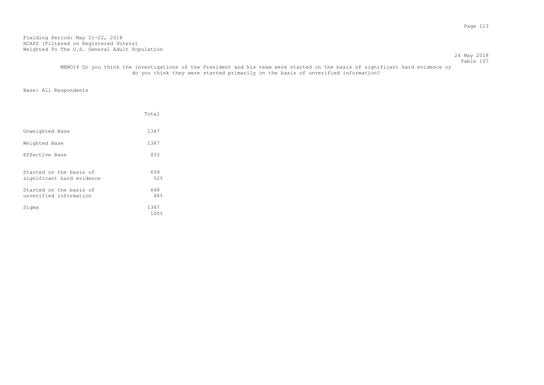24 May 2018 Table 107

 MEMO14 Do you think the investigations of the President and his team were started on the basis of significant hard evidence or do you think they were started primarily on the basis of unverified information?

|                                                      | Total           |
|------------------------------------------------------|-----------------|
| Unweighted Base                                      | 1347            |
| Weighted Base                                        | 1347            |
| Effective Base                                       | 833             |
| Started on the basis of<br>significant hard evidence | 699<br>52%      |
| Started on the basis of<br>unverified information    | 648<br>48%      |
| Sigma                                                | 1347<br>$100\%$ |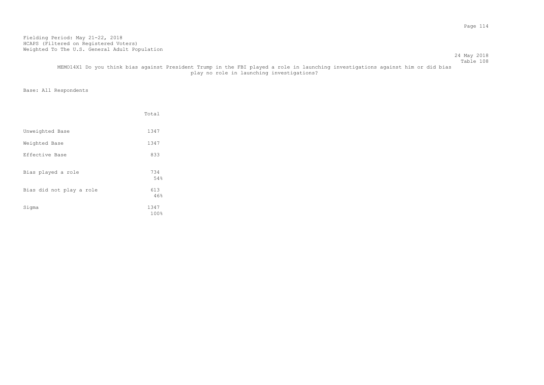24 May 2018

|                          | Total        |
|--------------------------|--------------|
| Unweighted Base          | 1347         |
| Weighted Base            | 1347         |
| Effective Base           | 833          |
| Bias played a role       | 734<br>54%   |
| Bias did not play a role | 613<br>46%   |
| Sigma                    | 1347<br>100% |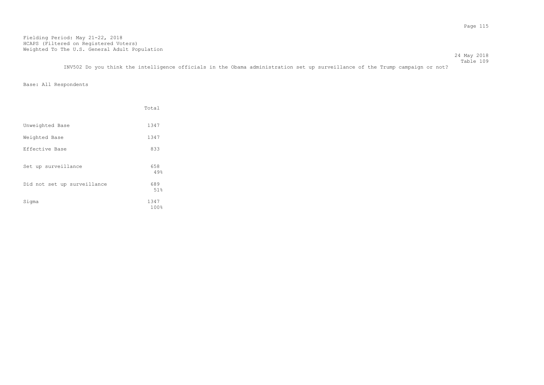24 May 2018 Table 109

INV502 Do you think the intelligence officials in the Obama administration set up surveillance of the Trump campaign or not?

|                             | Total        |
|-----------------------------|--------------|
| Unweighted Base             | 1347         |
| Weighted Base               | 1347         |
| Effective Base              | 833          |
| Set up surveillance         | 658<br>49%   |
| Did not set up surveillance | 689<br>51%   |
| Sigma                       | 1347<br>100% |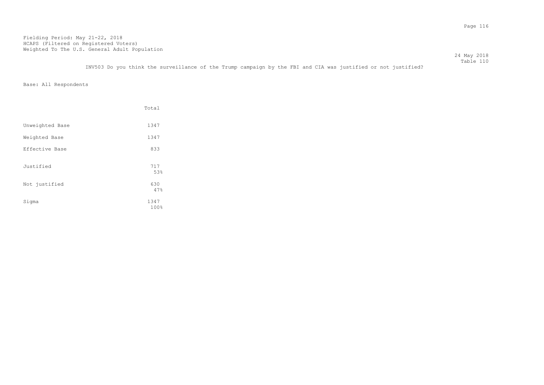Table 110 INV503 Do you think the surveillance of the Trump campaign by the FBI and CIA was justified or not justified?

24 May 2018

|                 | Total        |
|-----------------|--------------|
| Unweighted Base | 1347         |
| Weighted Base   | 1347         |
| Effective Base  | 833          |
| Justified       | 717<br>53%   |
| Not justified   | 630<br>47%   |
| Sigma           | 1347<br>100% |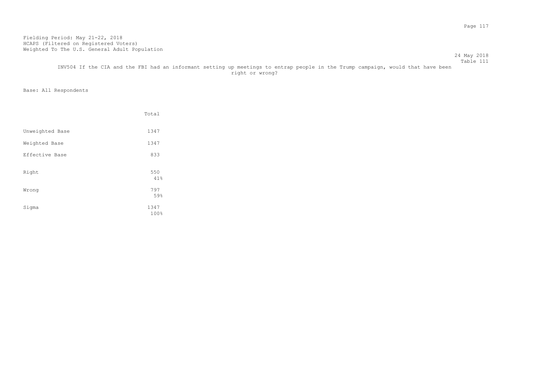#### Table 111 INV504 If the CIA and the FBI had an informant setting up meetings to entrap people in the Trump campaign, would that have been right or wrong?

## Base: All Respondents

|                 | Total               |
|-----------------|---------------------|
| Unweighted Base | 1347                |
| Weighted Base   | 1347                |
| Effective Base  | 833                 |
| Right           | 550<br>41%          |
| Wrong           | 797                 |
| Sigma           | 59%<br>1347<br>100% |

24 May 2018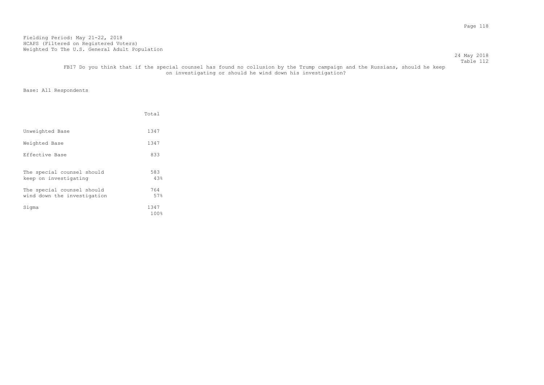24 May 2018 Table 112

## FBI7 Do you think that if the special counsel has found no collusion by the Trump campaign and the Russians, should he keep on investigating or should he wind down his investigation?

|                                                           | Total           |
|-----------------------------------------------------------|-----------------|
| Unweighted Base                                           | 1347            |
| Weighted Base                                             | 1347            |
| Effective Base                                            | 833             |
| The special counsel should<br>keep on investigating       | 583<br>4.3%     |
| The special counsel should<br>wind down the investigation | 764<br>57%      |
| Sigma                                                     | 1347<br>$100\%$ |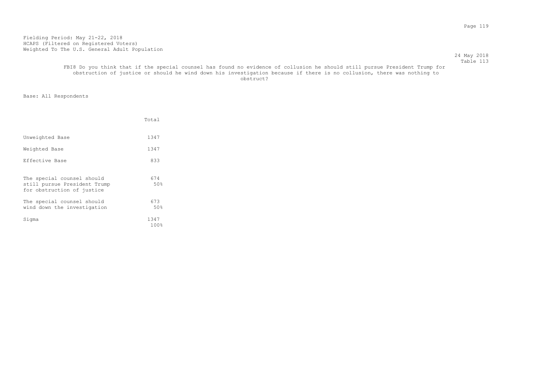#### 24 May 2018 Table 113

## FBI8 Do you think that if the special counsel has found no evidence of collusion he should still pursue President Trump for obstruction of justice or should he wind down his investigation because if there is no collusion, there was nothing to obstruct? The contract of the contract of the contract of the contract of the contract of the contract of the contract of the contract of the contract of the contract of the contract of the contract of the contract of the

|                                                                                          | Total           |
|------------------------------------------------------------------------------------------|-----------------|
| Unweighted Base                                                                          | 1347            |
| Weighted Base                                                                            | 1347            |
| Effective Base                                                                           | 833             |
| The special counsel should<br>still pursue President Trump<br>for obstruction of justice | 674<br>50%      |
| The special counsel should<br>wind down the investigation                                | 673<br>50%      |
| Sigma                                                                                    | 1347<br>$100\%$ |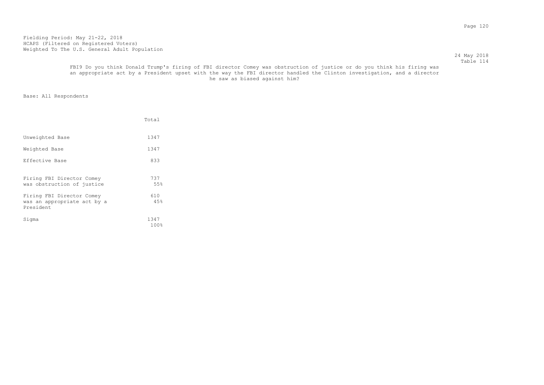## 24 May 2018 Table 114

## FBI9 Do you think Donald Trump's firing of FBI director Comey was obstruction of justice or do you think his firing was an appropriate act by a President upset with the way the FBI director handled the Clinton investigation, and a director he saw as biased against him?

|                                                                       | Total           |
|-----------------------------------------------------------------------|-----------------|
| Unweighted Base                                                       | 1347            |
| Weighted Base                                                         | 1347            |
| Effective Base                                                        | 833             |
| Firing FBI Director Comey<br>was obstruction of justice               | 737<br>55%      |
| Firing FBI Director Comey<br>was an appropriate act by a<br>President | 610<br>4.5%     |
| Sigma                                                                 | 1347<br>$100\%$ |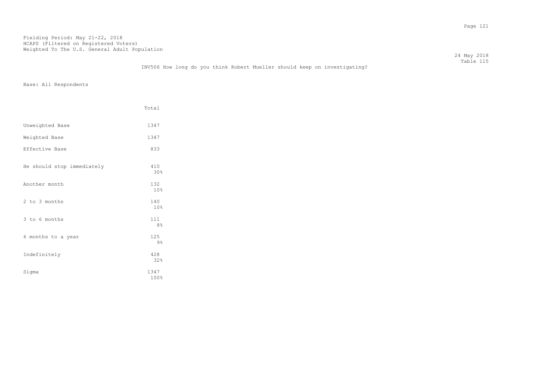|                                                                           | 24 May 2018 |
|---------------------------------------------------------------------------|-------------|
|                                                                           | Table 115   |
| INV506 How long do you think Robert Mueller should keep on investigating? |             |

|                            | Total                 |
|----------------------------|-----------------------|
| Unweighted Base            | 1347                  |
| Weighted Base              | 1347                  |
| Effective Base             | 833                   |
| He should stop immediately | 410<br>30%            |
| Another month              | 132<br>10%            |
| 2 to 3 months              | 140<br>10%            |
| 3 to 6 months              | 111<br>8 <sup>°</sup> |
| 6 months to a year         | 125<br>9%             |
| Indefinitely               | 428<br>32%            |
| Sigma                      | 1347<br>100%          |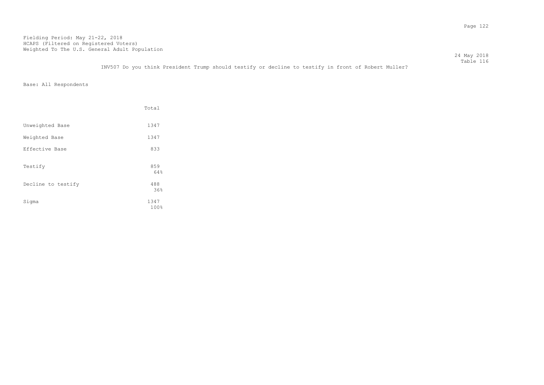Table 116 INV507 Do you think President Trump should testify or decline to testify in front of Robert Muller?

Base: All Respondents

|                    | Total        |
|--------------------|--------------|
| Unweighted Base    | 1347         |
| Weighted Base      | 1347         |
| Effective Base     | 833          |
| Testify            | 859<br>64%   |
| Decline to testify | 488<br>36%   |
| Sigma              | 1347<br>100% |

24 May 2018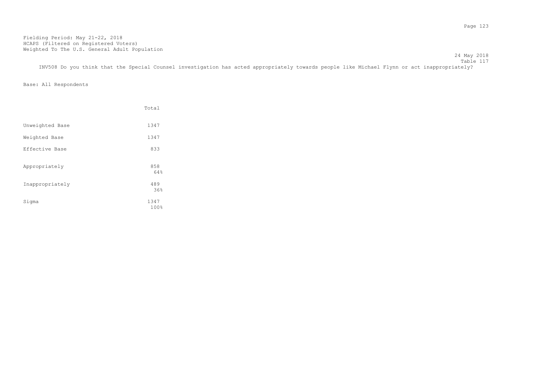24 May 2018

Table 117 INV508 Do you think that the Special Counsel investigation has acted appropriately towards people like Michael Flynn or act inappropriately?

|                 | Total        |
|-----------------|--------------|
| Unweighted Base | 1347         |
| Weighted Base   | 1347         |
| Effective Base  | 833          |
| Appropriately   | 858<br>64%   |
| Inappropriately | 489<br>36%   |
| Sigma           | 1347<br>100% |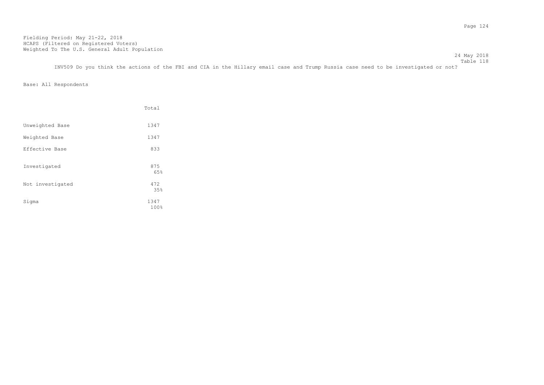24 May 2018 Table 118

INV509 Do you think the actions of the FBI and CIA in the Hillary email case and Trump Russia case need to be investigated or not?

|                  | Total        |
|------------------|--------------|
| Unweighted Base  | 1347         |
| Weighted Base    | 1347         |
| Effective Base   | 833          |
| Investigated     | 875<br>65%   |
| Not investigated | 472<br>35%   |
| Sigma            | 1347<br>100% |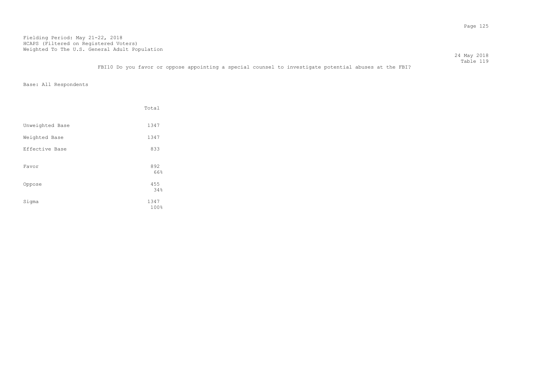Table 119 FBI10 Do you favor or oppose appointing a special counsel to investigate potential abuses at the FBI?

Base: All Respondents

|                 | Total        |
|-----------------|--------------|
| Unweighted Base | 1347         |
| Weighted Base   | 1347         |
| Effective Base  | 833          |
| Favor           | 892<br>66%   |
| Oppose          | 455<br>34%   |
| Sigma           | 1347<br>100% |

24 May 2018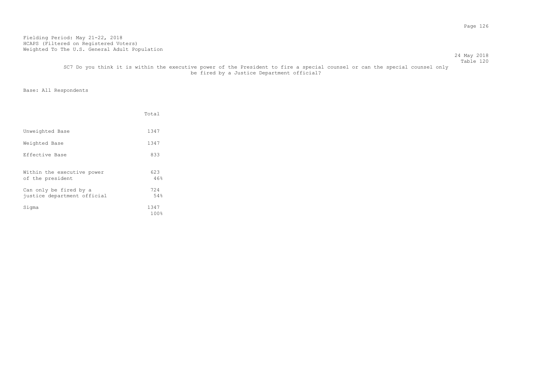## SC7 Do you think it is within the executive power of the President to fire a special counsel or can the special counsel only be fired by a Justice Department official?

|                                                       | Total        |
|-------------------------------------------------------|--------------|
| Unweighted Base                                       | 1347         |
| Weighted Base                                         | 1347         |
| Effective Base                                        | 833          |
| Within the executive power<br>of the president        | 623<br>46%   |
| Can only be fired by a<br>justice department official | 724<br>54%   |
| Sigma                                                 | 1347<br>100% |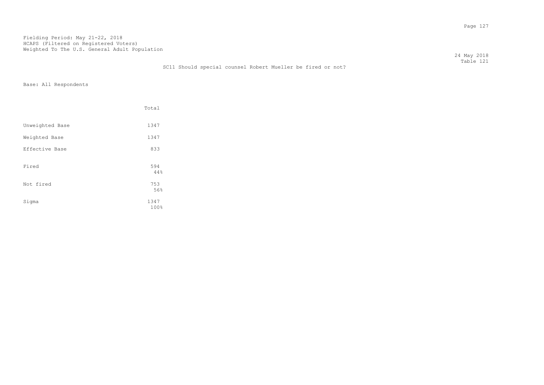24 May 2018 Table 121 SC11 Should special counsel Robert Mueller be fired or not?

|                 | Total        |
|-----------------|--------------|
| Unweighted Base | 1347         |
| Weighted Base   | 1347         |
| Effective Base  | 833          |
| Fired           | 594<br>44%   |
| Not fired       | 753<br>56%   |
| Sigma           | 1347<br>100% |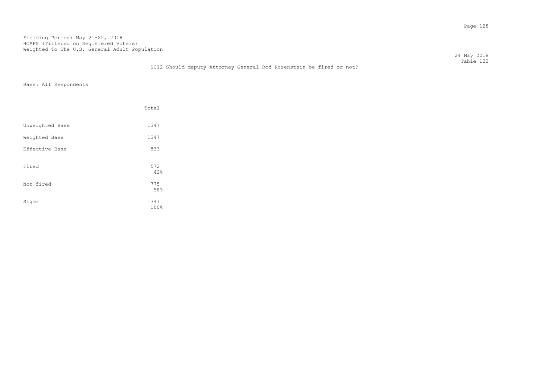|                                                                     | 24 May 2018 |
|---------------------------------------------------------------------|-------------|
|                                                                     | Table 122   |
| SC12 Should deputy Attorney General Rod Rosenstein be fired or not? |             |

|                 | Total        |  |
|-----------------|--------------|--|
| Unweighted Base | 1347         |  |
| Weighted Base   | 1347         |  |
| Effective Base  | 833          |  |
| Fired           | 572<br>42%   |  |
| Not fired       | 775<br>58%   |  |
| Sigma           | 1347<br>100% |  |